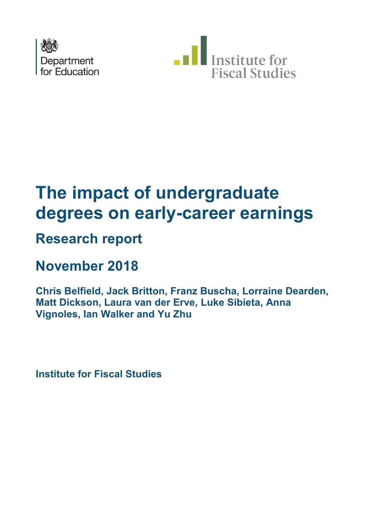



# **degrees on early-career earnings The impact of undergraduate**

# **Research report**

# **November 2018**

**Chris Belfield, Jack Britton, Franz Buscha, Lorraine Dearden, Matt Dickson, Laura van der Erve, Luke Sibieta, Anna Vignoles, Ian Walker and Yu Zhu** 

**Institute for Fiscal Studies**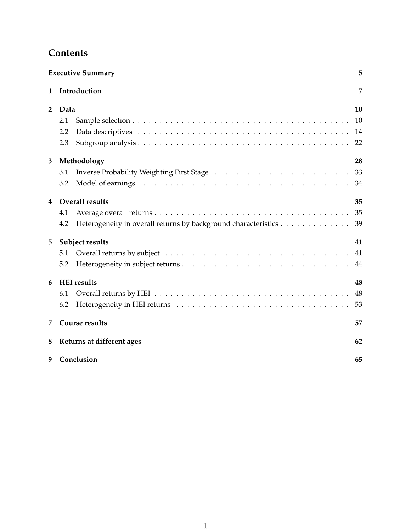|                | <b>Executive Summary</b>                                              | 5  |  |  |  |  |  |
|----------------|-----------------------------------------------------------------------|----|--|--|--|--|--|
| 1              | Introduction                                                          | 7  |  |  |  |  |  |
| $\overline{2}$ | Data                                                                  | 10 |  |  |  |  |  |
|                | 2.1                                                                   | 10 |  |  |  |  |  |
|                | 2.2                                                                   | 14 |  |  |  |  |  |
|                | 2.3                                                                   | 22 |  |  |  |  |  |
| 3              | Methodology                                                           | 28 |  |  |  |  |  |
|                | 3.1                                                                   | 33 |  |  |  |  |  |
|                | 3.2                                                                   | 34 |  |  |  |  |  |
| 4              | <b>Overall results</b>                                                | 35 |  |  |  |  |  |
|                | 4.1                                                                   | 35 |  |  |  |  |  |
|                | Heterogeneity in overall returns by background characteristics<br>4.2 | 39 |  |  |  |  |  |
| 5              | Subject results                                                       | 41 |  |  |  |  |  |
|                | 5.1                                                                   | 41 |  |  |  |  |  |
|                | 5.2                                                                   | 44 |  |  |  |  |  |
| 6              | <b>HEI</b> results                                                    | 48 |  |  |  |  |  |
|                | 6.1                                                                   | 48 |  |  |  |  |  |
|                | 6.2                                                                   | 53 |  |  |  |  |  |
| 7              | <b>Course results</b>                                                 | 57 |  |  |  |  |  |
| 8              | Returns at different ages<br>62                                       |    |  |  |  |  |  |
| 9              | Conclusion<br>65                                                      |    |  |  |  |  |  |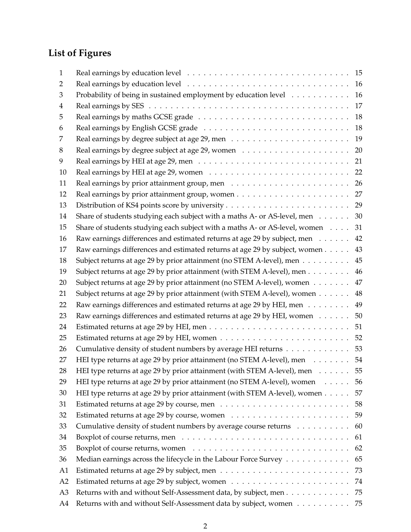# **List of Figures**

| 1              |                                                                            | 15 |
|----------------|----------------------------------------------------------------------------|----|
| 2              |                                                                            | 16 |
| 3              | Probability of being in sustained employment by education level            | 16 |
| 4              |                                                                            | 17 |
| 5              |                                                                            | 18 |
| 6              |                                                                            | 18 |
| 7              |                                                                            | 19 |
| 8              |                                                                            | 20 |
| 9              |                                                                            | 21 |
| 10             |                                                                            | 22 |
| 11             |                                                                            | 26 |
| 12             |                                                                            | 27 |
| 13             |                                                                            | 29 |
| 14             | Share of students studying each subject with a maths A- or AS-level, men   | 30 |
| 15             | Share of students studying each subject with a maths A- or AS-level, women | 31 |
| 16             | Raw earnings differences and estimated returns at age 29 by subject, men   | 42 |
| 17             | Raw earnings differences and estimated returns at age 29 by subject, women | 43 |
| 18             | Subject returns at age 29 by prior attainment (no STEM A-level), men       | 45 |
| 19             | Subject returns at age 29 by prior attainment (with STEM A-level), men     | 46 |
| 20             | Subject returns at age 29 by prior attainment (no STEM A-level), women     | 47 |
| 21             | Subject returns at age 29 by prior attainment (with STEM A-level), women   | 48 |
| 22             | Raw earnings differences and estimated returns at age 29 by HEI, men       | 49 |
| 23             | Raw earnings differences and estimated returns at age 29 by HEI, women     | 50 |
| 24             |                                                                            | 51 |
| 25             |                                                                            | 52 |
| 26             | Cumulative density of student numbers by average HEI returns               | 53 |
| 27             | HEI type returns at age 29 by prior attainment (no STEM A-level), men      | 54 |
| 28             | HEI type returns at age 29 by prior attainment (with STEM A-level), men 55 |    |
| 29             | HEI type returns at age 29 by prior attainment (no STEM A-level), women    | 56 |
| 30             | HEI type returns at age 29 by prior attainment (with STEM A-level), women  | 57 |
| 31             |                                                                            | 58 |
| 32             |                                                                            | 59 |
| 33             | Cumulative density of student numbers by average course returns            | 60 |
| 34             |                                                                            | 61 |
| 35             |                                                                            | 62 |
| 36             | Median earnings across the lifecycle in the Labour Force Survey            | 65 |
| A <sub>1</sub> |                                                                            | 73 |
| A2             |                                                                            | 74 |
| A <sub>3</sub> | Returns with and without Self-Assessment data, by subject, men             | 75 |
| A4             | Returns with and without Self-Assessment data by subject, women 75         |    |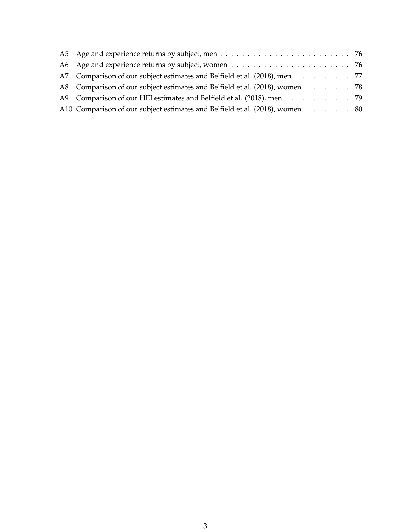| A5 Age and experience returns by subject, men $\dots \dots \dots \dots \dots \dots \dots \dots \dots \dots$ |  |
|-------------------------------------------------------------------------------------------------------------|--|
| A6 Age and experience returns by subject, women $\dots \dots \dots \dots \dots \dots \dots \dots \dots$     |  |
| A7 Comparison of our subject estimates and Belfield et al. (2018), men 77                                   |  |
| A8 Comparison of our subject estimates and Belfield et al. (2018), women 78                                 |  |
| A9 Comparison of our HEI estimates and Belfield et al. (2018), men 79                                       |  |
| A10 Comparison of our subject estimates and Belfield et al. (2018), women 80                                |  |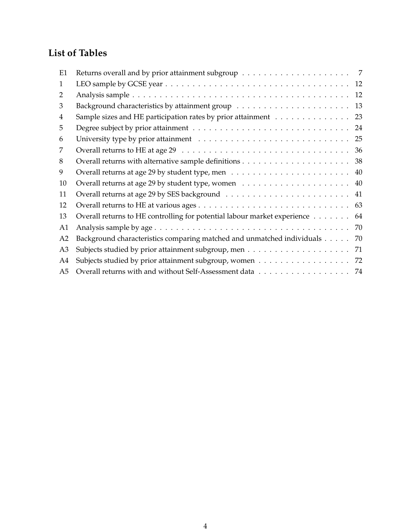# **List of Tables**

| E1             |                                                                          | 7  |
|----------------|--------------------------------------------------------------------------|----|
| 1              |                                                                          | 12 |
| 2              |                                                                          | 12 |
| 3              |                                                                          | 13 |
| 4              | Sample sizes and HE participation rates by prior attainment              | 23 |
| 5              |                                                                          | 24 |
| 6              |                                                                          | 25 |
| 7              |                                                                          | 36 |
| 8              |                                                                          | 38 |
| 9              |                                                                          | 40 |
| 10             |                                                                          | 40 |
| 11             |                                                                          | 41 |
| 12             |                                                                          | 63 |
| 13             | Overall returns to HE controlling for potential labour market experience | 64 |
| A1             |                                                                          | 70 |
| A2             | Background characteristics comparing matched and unmatched individuals   | 70 |
| A <sub>3</sub> |                                                                          | 71 |
| A4             | Subjects studied by prior attainment subgroup, women 72                  |    |
| A5             |                                                                          |    |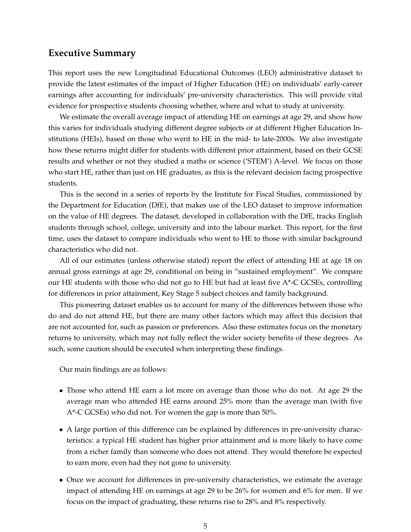### <span id="page-5-0"></span>**Executive Summary**

This report uses the new Longitudinal Educational Outcomes (LEO) administrative dataset to provide the latest estimates of the impact of Higher Education (HE) on individuals' early-career earnings after accounting for individuals' pre-university characteristics. This will provide vital evidence for prospective students choosing whether, where and what to study at university.

We estimate the overall average impact of attending HE on earnings at age 29, and show how this varies for individuals studying different degree subjects or at different Higher Education Institutions (HEIs), based on those who went to HE in the mid- to late-2000s. We also investigate how these returns might differ for students with different prior attainment, based on their GCSE results and whether or not they studied a maths or science ('STEM') A-level. We focus on those who start HE, rather than just on HE graduates, as this is the relevant decision facing prospective students.

This is the second in a series of reports by the Institute for Fiscal Studies, commissioned by the Department for Education (DfE), that makes use of the LEO dataset to improve information on the value of HE degrees. The dataset, developed in collaboration with the DfE, tracks English students through school, college, university and into the labour market. This report, for the first time, uses the dataset to compare individuals who went to HE to those with similar background characteristics who did not.

All of our estimates (unless otherwise stated) report the effect of attending HE at age 18 on annual gross earnings at age 29, conditional on being in "sustained employment". We compare our HE students with those who did not go to HE but had at least five A\*-C GCSEs, controlling for differences in prior attainment, Key Stage 5 subject choices and family background.

This pioneering dataset enables us to account for many of the differences between those who do and do not attend HE, but there are many other factors which may affect this decision that are not accounted for, such as passion or preferences. Also these estimates focus on the monetary returns to university, which may not fully reflect the wider society benefits of these degrees. As such, some caution should be executed when interpreting these findings.

Our main findings are as follows:

- Those who attend HE earn a lot more on average than those who do not. At age 29 the average man who attended HE earns around 25% more than the average man (with five A\*-C GCSEs) who did not. For women the gap is more than 50%.
- A large portion of this difference can be explained by differences in pre-university characteristics: a typical HE student has higher prior attainment and is more likely to have come from a richer family than someone who does not attend. They would therefore be expected to earn more, even had they not gone to university.
- Once we account for differences in pre-university characteristics, we estimate the average impact of attending HE on earnings at age 29 to be 26% for women and 6% for men. If we focus on the impact of graduating, these returns rise to 28% and 8% respectively.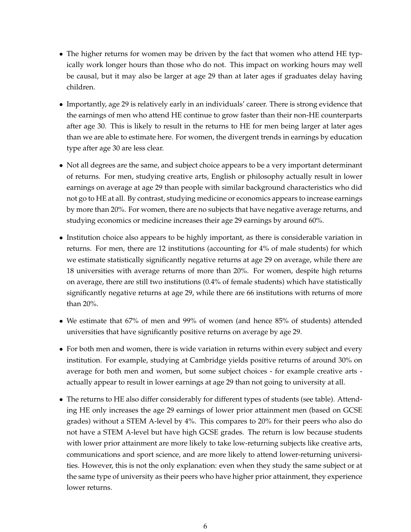- The higher returns for women may be driven by the fact that women who attend HE typically work longer hours than those who do not. This impact on working hours may well be causal, but it may also be larger at age 29 than at later ages if graduates delay having children.
- Importantly, age 29 is relatively early in an individuals' career. There is strong evidence that the earnings of men who attend HE continue to grow faster than their non-HE counterparts after age 30. This is likely to result in the returns to HE for men being larger at later ages than we are able to estimate here. For women, the divergent trends in earnings by education type after age 30 are less clear.
- Not all degrees are the same, and subject choice appears to be a very important determinant of returns. For men, studying creative arts, English or philosophy actually result in lower earnings on average at age 29 than people with similar background characteristics who did not go to HE at all. By contrast, studying medicine or economics appears to increase earnings by more than 20%. For women, there are no subjects that have negative average returns, and studying economics or medicine increases their age 29 earnings by around 60%.
- Institution choice also appears to be highly important, as there is considerable variation in returns. For men, there are 12 institutions (accounting for 4% of male students) for which we estimate statistically significantly negative returns at age 29 on average, while there are 18 universities with average returns of more than 20%. For women, despite high returns on average, there are still two institutions (0.4% of female students) which have statistically significantly negative returns at age 29, while there are 66 institutions with returns of more than 20%.
- We estimate that 67% of men and 99% of women (and hence 85% of students) attended universities that have significantly positive returns on average by age 29.
- For both men and women, there is wide variation in returns within every subject and every institution. For example, studying at Cambridge yields positive returns of around 30% on average for both men and women, but some subject choices - for example creative arts actually appear to result in lower earnings at age 29 than not going to university at all.
- The returns to HE also differ considerably for different types of students (see table). Attending HE only increases the age 29 earnings of lower prior attainment men (based on GCSE grades) without a STEM A-level by 4%. This compares to 20% for their peers who also do not have a STEM A-level but have high GCSE grades. The return is low because students with lower prior attainment are more likely to take low-returning subjects like creative arts, communications and sport science, and are more likely to attend lower-returning universities. However, this is not the only explanation: even when they study the same subject or at the same type of university as their peers who have higher prior attainment, they experience lower returns.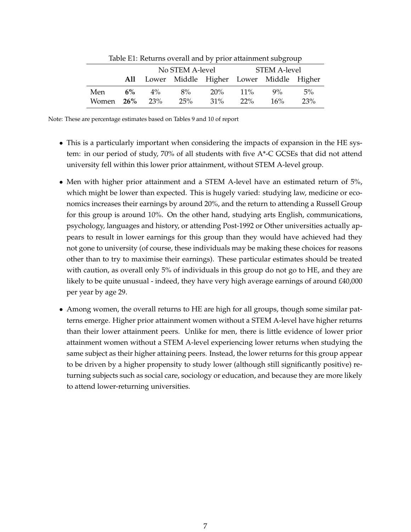<span id="page-7-0"></span>

|                      | Table LT. Ketamis overall and by prior attainment subgroup |                  |                 |     |        |                                             |     |  |  |  |
|----------------------|------------------------------------------------------------|------------------|-----------------|-----|--------|---------------------------------------------|-----|--|--|--|
|                      |                                                            |                  | No STEM A-level |     |        | STEM A-level                                |     |  |  |  |
|                      |                                                            |                  |                 |     |        | All Lower Middle Higher Lower Middle Higher |     |  |  |  |
| Men                  |                                                            | $6\% \qquad 4\%$ | $8\%$           | 20% | $11\%$ | $9\%$                                       | 5%  |  |  |  |
| Women <b>26%</b> 23% |                                                            |                  | 25%             | 31% | $22\%$ | 16%                                         | 23% |  |  |  |

Table E1: Returns overall and by prior attainment subgroup

Note: These are percentage estimates based on Tables 9 and 10 of report

- This is a particularly important when considering the impacts of expansion in the HE system: in our period of study, 70% of all students with five A\*-C GCSEs that did not attend university fell within this lower prior attainment, without STEM A-level group.
- Men with higher prior attainment and a STEM A-level have an estimated return of 5%, which might be lower than expected. This is hugely varied: studying law, medicine or economics increases their earnings by around 20%, and the return to attending a Russell Group for this group is around 10%. On the other hand, studying arts English, communications, psychology, languages and history, or attending Post-1992 or Other universities actually appears to result in lower earnings for this group than they would have achieved had they not gone to university (of course, these individuals may be making these choices for reasons other than to try to maximise their earnings). These particular estimates should be treated with caution, as overall only 5% of individuals in this group do not go to HE, and they are likely to be quite unusual - indeed, they have very high average earnings of around  $£40,000$ per year by age 29.
- Among women, the overall returns to HE are high for all groups, though some similar patterns emerge. Higher prior attainment women without a STEM A-level have higher returns than their lower attainment peers. Unlike for men, there is little evidence of lower prior attainment women without a STEM A-level experiencing lower returns when studying the same subject as their higher attaining peers. Instead, the lower returns for this group appear to be driven by a higher propensity to study lower (although still significantly positive) returning subjects such as social care, sociology or education, and because they are more likely to attend lower-returning universities.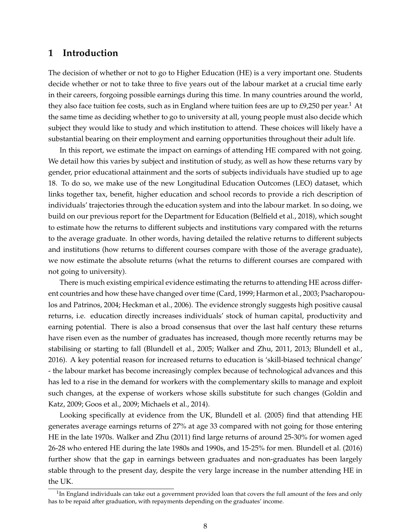### **1 Introduction**

The decision of whether or not to go to Higher Education (HE) is a very important one. Students decide whether or not to take three to five years out of the labour market at a crucial time early in their careers, forgoing possible earnings during this time. In many countries around the world, they also face tuition fee costs, such as in England where tuition fees are up to  $\text{\textsterling}9,250$  per year.<sup>1</sup> At the same time as deciding whether to go to university at all, young people must also decide which subject they would like to study and which institution to attend. These choices will likely have a substantial bearing on their employment and earning opportunities throughout their adult life.

In this report, we estimate the impact on earnings of attending HE compared with not going. We detail how this varies by subject and institution of study, as well as how these returns vary by gender, prior educational attainment and the sorts of subjects individuals have studied up to age 18. To do so, we make use of the new Longitudinal Education Outcomes (LEO) dataset, which links together tax, benefit, higher education and school records to provide a rich description of individuals' trajectories through the education system and into the labour market. In so doing, we build on our previous report for the Department for Education (Belfield et al., 2018), which sought to estimate how the returns to different subjects and institutions vary compared with the returns to the average graduate. In other words, having detailed the relative returns to different subjects and institutions (how returns to different courses compare with those of the average graduate), we now estimate the absolute returns (what the returns to different courses are compared with not going to university).

There is much existing empirical evidence estimating the returns to attending HE across different countries and how these have changed over time (Card, 1999; Harmon et al., 2003; Psacharopoulos and Patrinos, 2004; Heckman et al., 2006). The evidence strongly suggests high positive causal returns, i.e. education directly increases individuals' stock of human capital, productivity and earning potential. There is also a broad consensus that over the last half century these returns have risen even as the number of graduates has increased, though more recently returns may be stabilising or starting to fall (Blundell et al., 2005; Walker and Zhu, 2011, 2013; Blundell et al., 2016). A key potential reason for increased returns to education is 'skill-biased technical change' - the labour market has become increasingly complex because of technological advances and this has led to a rise in the demand for workers with the complementary skills to manage and exploit such changes, at the expense of workers whose skills substitute for such changes (Goldin and Katz, 2009; Goos et al., 2009; Michaels et al., 2014).

Looking specifically at evidence from the UK, Blundell et al. (2005) find that attending HE generates average earnings returns of 27% at age 33 compared with not going for those entering HE in the late 1970s. Walker and Zhu (2011) find large returns of around 25-30% for women aged 26-28 who entered HE during the late 1980s and 1990s, and 15-25% for men. Blundell et al. (2016) further show that the gap in earnings between graduates and non-graduates has been largely stable through to the present day, despite the very large increase in the number attending HE in the UK.

 $1$ In England individuals can take out a government provided loan that covers the full amount of the fees and only has to be repaid after graduation, with repayments depending on the graduates' income.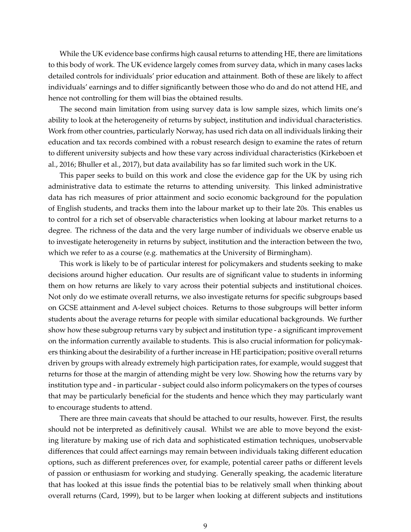While the UK evidence base confirms high causal returns to attending HE, there are limitations to this body of work. The UK evidence largely comes from survey data, which in many cases lacks detailed controls for individuals' prior education and attainment. Both of these are likely to affect individuals' earnings and to differ significantly between those who do and do not attend HE, and hence not controlling for them will bias the obtained results.

The second main limitation from using survey data is low sample sizes, which limits one's ability to look at the heterogeneity of returns by subject, institution and individual characteristics. Work from other countries, particularly Norway, has used rich data on all individuals linking their education and tax records combined with a robust research design to examine the rates of return to different university subjects and how these vary across individual characteristics (Kirkeboen et al., 2016; Bhuller et al., 2017), but data availability has so far limited such work in the UK.

This paper seeks to build on this work and close the evidence gap for the UK by using rich administrative data to estimate the returns to attending university. This linked administrative data has rich measures of prior attainment and socio economic background for the population of English students, and tracks them into the labour market up to their late 20s. This enables us to control for a rich set of observable characteristics when looking at labour market returns to a degree. The richness of the data and the very large number of individuals we observe enable us to investigate heterogeneity in returns by subject, institution and the interaction between the two, which we refer to as a course (e.g. mathematics at the University of Birmingham).

This work is likely to be of particular interest for policymakers and students seeking to make decisions around higher education. Our results are of significant value to students in informing them on how returns are likely to vary across their potential subjects and institutional choices. Not only do we estimate overall returns, we also investigate returns for specific subgroups based on GCSE attainment and A-level subject choices. Returns to those subgroups will better inform students about the average returns for people with similar educational backgrounds. We further show how these subgroup returns vary by subject and institution type - a significant improvement on the information currently available to students. This is also crucial information for policymakers thinking about the desirability of a further increase in HE participation; positive overall returns driven by groups with already extremely high participation rates, for example, would suggest that returns for those at the margin of attending might be very low. Showing how the returns vary by institution type and - in particular - subject could also inform policymakers on the types of courses that may be particularly beneficial for the students and hence which they may particularly want to encourage students to attend.

There are three main caveats that should be attached to our results, however. First, the results should not be interpreted as definitively causal. Whilst we are able to move beyond the existing literature by making use of rich data and sophisticated estimation techniques, unobservable differences that could affect earnings may remain between individuals taking different education options, such as different preferences over, for example, potential career paths or different levels of passion or enthusiasm for working and studying. Generally speaking, the academic literature that has looked at this issue finds the potential bias to be relatively small when thinking about overall returns (Card, 1999), but to be larger when looking at different subjects and institutions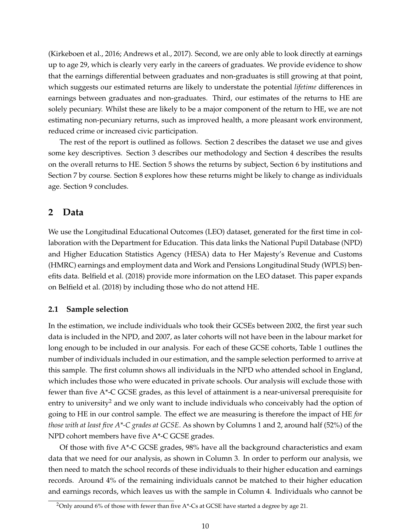<span id="page-10-0"></span>(Kirkeboen et al., 2016; Andrews et al., 2017). Second, we are only able to look directly at earnings up to age 29, which is clearly very early in the careers of graduates. We provide evidence to show that the earnings differential between graduates and non-graduates is still growing at that point, which suggests our estimated returns are likely to understate the potential *lifetime* differences in earnings between graduates and non-graduates. Third, our estimates of the returns to HE are solely pecuniary. Whilst these are likely to be a major component of the return to HE, we are not estimating non-pecuniary returns, such as improved health, a more pleasant work environment, reduced crime or increased civic participation.

The rest of the report is outlined as follows. Section 2 describes the dataset we use and gives some key descriptives. Section 3 describes our methodology and Section 4 describes the results on the overall returns to HE. Section 5 shows the returns by subject, Section 6 by institutions and Section 7 by course. Section 8 explores how these returns might be likely to change as individuals age. Section 9 concludes.

#### **2 Data**

We use the Longitudinal Educational Outcomes (LEO) dataset, generated for the first time in collaboration with the Department for Education. This data links the National Pupil Database (NPD) and Higher Education Statistics Agency (HESA) data to Her Majesty's Revenue and Customs (HMRC) earnings and employment data and Work and Pensions Longitudinal Study (WPLS) benefits data. Belfield et al. (2018) provide more information on the LEO dataset. This paper expands on Belfield et al. (2018) by including those who do not attend HE.

#### **2.1 Sample selection**

In the estimation, we include individuals who took their GCSEs between 2002, the first year such data is included in the NPD, and 2007, as later cohorts will not have been in the labour market for long enough to be included in our analysis. For each of these GCSE cohorts, Table 1 outlines the number of individuals included in our estimation, and the sample selection performed to arrive at this sample. The first column shows all individuals in the NPD who attended school in England, which includes those who were educated in private schools. Our analysis will exclude those with fewer than five A\*-C GCSE grades, as this level of attainment is a near-universal prerequisite for entry to university<sup>2</sup> and we only want to include individuals who conceivably had the option of going to HE in our control sample. The effect we are measuring is therefore the impact of HE *for those with at least five A\*-C grades at GCSE*. As shown by Columns 1 and 2, around half (52%) of the NPD cohort members have five A\*-C GCSE grades.

Of those with five  $A^*$ -C GCSE grades, 98% have all the background characteristics and exam data that we need for our analysis, as shown in Column 3. In order to perform our analysis, we then need to match the school records of these individuals to their higher education and earnings records. Around 4% of the remaining individuals cannot be matched to their higher education and earnings records, which leaves us with the sample in Column 4. Individuals who cannot be

<sup>&</sup>lt;sup>2</sup>Only around 6% of those with fewer than five A\*-Cs at GCSE have started a degree by age 21.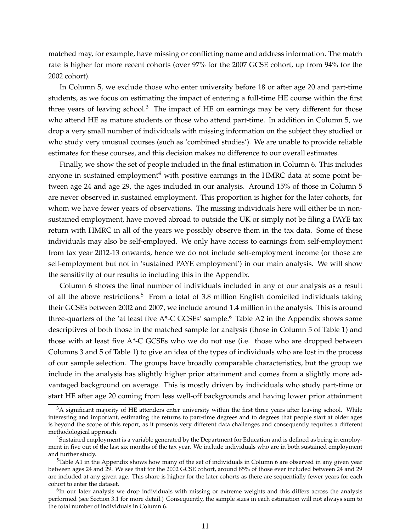matched may, for example, have missing or conflicting name and address information. The match rate is higher for more recent cohorts (over 97% for the 2007 GCSE cohort, up from 94% for the 2002 cohort).

In Column 5, we exclude those who enter university before 18 or after age 20 and part-time students, as we focus on estimating the impact of entering a full-time HE course within the first three years of leaving school.<sup>3</sup> The impact of HE on earnings may be very different for those who attend HE as mature students or those who attend part-time. In addition in Column 5, we drop a very small number of individuals with missing information on the subject they studied or who study very unusual courses (such as 'combined studies'). We are unable to provide reliable estimates for these courses, and this decision makes no difference to our overall estimates.

Finally, we show the set of people included in the final estimation in Column 6. This includes anyone in sustained employment<sup>4</sup> with positive earnings in the HMRC data at some point between age 24 and age 29, the ages included in our analysis. Around 15% of those in Column 5 are never observed in sustained employment. This proportion is higher for the later cohorts, for whom we have fewer years of observations. The missing individuals here will either be in nonsustained employment, have moved abroad to outside the UK or simply not be filing a PAYE tax return with HMRC in all of the years we possibly observe them in the tax data. Some of these individuals may also be self-employed. We only have access to earnings from self-employment from tax year 2012-13 onwards, hence we do not include self-employment income (or those are self-employment but not in 'sustained PAYE employment') in our main analysis. We will show the sensitivity of our results to including this in the Appendix.

Column 6 shows the final number of individuals included in any of our analysis as a result of all the above restrictions.<sup>5</sup> From a total of 3.8 million English domiciled individuals taking their GCSEs between 2002 and 2007, we include around 1.4 million in the analysis. This is around three-quarters of the 'at least five  $A^*$ -C GCSEs' sample.<sup>6</sup> Table A2 in the Appendix shows some descriptives of both those in the matched sample for analysis (those in Column 5 of Table 1) and those with at least five A\*-C GCSEs who we do not use (i.e. those who are dropped between Columns 3 and 5 of Table 1) to give an idea of the types of individuals who are lost in the process of our sample selection. The groups have broadly comparable characteristics, but the group we include in the analysis has slightly higher prior attainment and comes from a slightly more advantaged background on average. This is mostly driven by individuals who study part-time or start HE after age 20 coming from less well-off backgrounds and having lower prior attainment

 $3A$  significant majority of HE attenders enter university within the first three years after leaving school. While interesting and important, estimating the returns to part-time degrees and to degrees that people start at older ages is beyond the scope of this report, as it presents very different data challenges and consequently requires a different methodological approach.

<sup>4</sup>Sustained employment is a variable generated by the Department for Education and is defined as being in employment in five out of the last six months of the tax year. We include individuals who are in both sustained employment and further study.

<sup>&</sup>lt;sup>5</sup>Table A1 in the Appendix shows how many of the set of individuals in Column 6 are observed in any given year between ages 24 and 29. We see that for the 2002 GCSE cohort, around 85% of those ever included between 24 and 29 are included at any given age. This share is higher for the later cohorts as there are sequentially fewer years for each cohort to enter the dataset.

 $6$ In our later analysis we drop individuals with missing or extreme weights and this differs across the analysis performed (see Section 3.1 for more detail.) Consequently, the sample sizes in each estimation will not always sum to the total number of individuals in Column 6.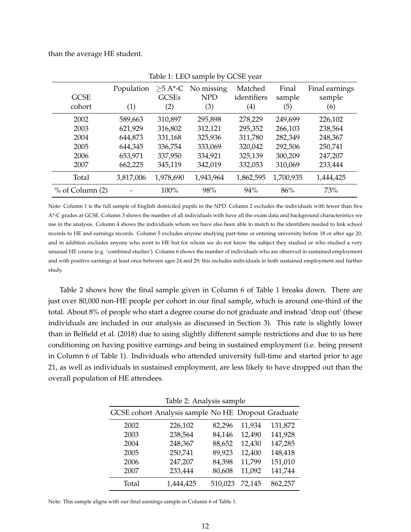than the average HE student.

| <b>GCSE</b><br>cohort | Population<br>(1) | <b>GCSEs</b><br>(2) | $>5$ A*-C No missing<br><b>NPD</b><br>(3) | Matched<br>identifiers<br>$\left( 4\right)$ | Final<br>sample<br>(5) | Final earnings<br>sample<br>(6) |
|-----------------------|-------------------|---------------------|-------------------------------------------|---------------------------------------------|------------------------|---------------------------------|
| 2002                  | 589,663           | 310,897             | 295,898                                   | 278,229                                     | 249,699                | 226,102                         |
| 2003                  | 621,929           | 316,802             | 312,121                                   | 295,352                                     | 266,103                | 238,564                         |
| 2004                  | 644,873           | 331,168             | 325,936                                   | 311,780                                     | 282,349                | 248,367                         |
| 2005                  | 644,345           | 336,754             | 333,069                                   | 320,042                                     | 292,506                | 250,741                         |
| 2006                  | 653,971           | 337,950             | 334,921                                   | 325,139                                     | 300,209                | 247,207                         |
| 2007                  | 662,225           | 345,119             | 342,019                                   | 332,053                                     | 310,069                | 233,444                         |
| Total                 | 3,817,006         | 1,978,690           | 1,943,964                                 | 1,862,595                                   | 1,700,935              | 1,444,425                       |
| $%$ of Column $(2)$   |                   | 100%                | 98%                                       | 94%                                         | 86%                    | 73%                             |

Table 1: LEO sample by GCSE year

Note: Column 1 is the full sample of English domiciled pupils in the NPD. Column 2 excludes the individuals with fewer than five A\*-C grades at GCSE. Column 3 shows the number of all individuals with have all the exam data and background characteristics we use in the analysis. Column 4 shows the individuals whom we have also been able to match to the identifiers needed to link school records to HE and earnings records. Column 5 excludes anyone studying part-time or entering university before 18 or after age 20, and in addition excludes anyone who went to HE but for whom we do not know the subject they studied or who studied a very unusual HE course (e.g. 'combined studies'). Column 6 shows the number of individuals who are observed in sustained employment and with positive earnings at least once between ages 24 and 29; this includes individuals in both sustained employment and further study.

Table 2 shows how the final sample given in Column 6 of Table 1 breaks down. There are just over 80,000 non-HE people per cohort in our final sample, which is around one-third of the total. About 8% of people who start a degree course do not graduate and instead 'drop out' (these individuals are included in our analysis as discussed in Section 3). This rate is slightly lower than in Belfield et al. (2018) due to using slightly different sample restrictions and due to us here conditioning on having positive earnings and being in sustained employment (i.e. being present in Column 6 of Table 1). Individuals who attended university full-time and started prior to age 21, as well as individuals in sustained employment, are less likely to have dropped out than the overall population of HE attendees.

| Table 2: Analysis sample |                                                    |         |        |         |  |  |  |  |  |
|--------------------------|----------------------------------------------------|---------|--------|---------|--|--|--|--|--|
|                          | GCSE cohort Analysis sample No HE Dropout Graduate |         |        |         |  |  |  |  |  |
| 2002                     | 226,102                                            | 82,296  | 11,934 | 131,872 |  |  |  |  |  |
| 2003                     | 238,564                                            | 84,146  | 12,490 | 141,928 |  |  |  |  |  |
| 2004                     | 248,367                                            | 88,652  | 12,430 | 147,285 |  |  |  |  |  |
| 2005                     | 250,741                                            | 89,923  | 12,400 | 148,418 |  |  |  |  |  |
| 2006                     | 247,207                                            | 84,398  | 11,799 | 151,010 |  |  |  |  |  |
| 2007                     | 233,444                                            | 80,608  | 11,092 | 141,744 |  |  |  |  |  |
| Total                    | 1,444,425                                          | 510,023 | 72,145 | 862,257 |  |  |  |  |  |

Note: This sample aligns with our final earnings sample in Column 6 of Table 1.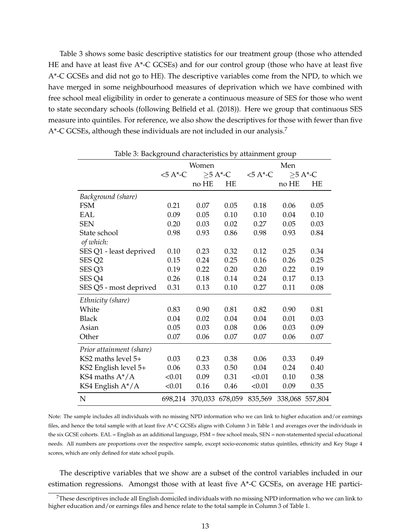Table 3 shows some basic descriptive statistics for our treatment group (those who attended HE and have at least five A\*-C GCSEs) and for our control group (those who have at least five A\*-C GCSEs and did not go to HE). The descriptive variables come from the NPD, to which we have merged in some neighbourhood measures of deprivation which we have combined with free school meal eligibility in order to generate a continuous measure of SES for those who went to state secondary schools (following Belfield et al. (2018)). Here we group that continuous SES measure into quintiles. For reference, we also show the descriptives for those with fewer than five A\*-C GCSEs, although these individuals are not included in our analysis.<sup>7</sup>

| Table 5: Background characteristics by attainment group |              |                 |            |              |                  |                 |  |  |
|---------------------------------------------------------|--------------|-----------------|------------|--------------|------------------|-----------------|--|--|
|                                                         |              | Women           |            | Men          |                  |                 |  |  |
|                                                         | $< 5 A^*$ -C |                 | $>5 A*$ -C | $<5$ A $-$ C | $>5 A^{\ast}$ -C |                 |  |  |
|                                                         |              | no HE           | HE         |              | no HE            | <b>HE</b>       |  |  |
| Background (share)                                      |              |                 |            |              |                  |                 |  |  |
| <b>FSM</b>                                              | 0.21         | 0.07            | 0.05       | 0.18         | 0.06             | 0.05            |  |  |
| EAL                                                     | 0.09         | 0.05            | 0.10       | 0.10         | 0.04             | 0.10            |  |  |
| <b>SEN</b>                                              | 0.20         | 0.03            | 0.02       | 0.27         | 0.05             | 0.03            |  |  |
| State school<br>of which:                               | 0.98         | 0.93            | 0.86       | 0.98         | 0.93             | 0.84            |  |  |
| SES Q1 - least deprived                                 | 0.10         | 0.23            | 0.32       | 0.12         | 0.25             | 0.34            |  |  |
| SES <sub>Q2</sub>                                       | 0.15         | 0.24            | 0.25       | 0.16         | 0.26             | 0.25            |  |  |
| SES <sub>Q3</sub>                                       | 0.19         | 0.22            | 0.20       | 0.20         | 0.22             | 0.19            |  |  |
| SES <sub>Q4</sub>                                       | 0.26         | 0.18            | 0.14       | 0.24         | 0.17             | 0.13            |  |  |
| SES Q5 - most deprived                                  | 0.31         | 0.13            | 0.10       | 0.27         | 0.11             | 0.08            |  |  |
| Ethnicity (share)                                       |              |                 |            |              |                  |                 |  |  |
| White                                                   | 0.83         | 0.90            | 0.81       | 0.82         | 0.90             | 0.81            |  |  |
| <b>Black</b>                                            | 0.04         | 0.02            | 0.04       | 0.04         | 0.01             | 0.03            |  |  |
| Asian                                                   | 0.05         | 0.03            | 0.08       | 0.06         | 0.03             | 0.09            |  |  |
| Other                                                   | 0.07         | 0.06            | 0.07       | 0.07         | 0.06             | 0.07            |  |  |
| Prior attainment (share)                                |              |                 |            |              |                  |                 |  |  |
| KS2 maths level 5+                                      | 0.03         | 0.23            | 0.38       | 0.06         | 0.33             | 0.49            |  |  |
| KS2 English level 5+                                    | 0.06         | 0.33            | 0.50       | 0.04         | 0.24             | 0.40            |  |  |
| KS4 maths $A^*/A$                                       | < 0.01       | 0.09            | 0.31       | < 0.01       | 0.10             | 0.38            |  |  |
| KS4 English A*/A                                        | < 0.01       | 0.16            | 0.46       | < 0.01       | 0.09             | 0.35            |  |  |
| N                                                       | 698,214      | 370,033 678,059 |            | 835,569      |                  | 338,068 557,804 |  |  |

Table 3: Background characteristics by attainment group

Note: The sample includes all individuals with no missing NPD information who we can link to higher education and/or earnings files, and hence the total sample with at least five A\*-C GCSEs aligns with Column 3 in Table 1 and averages over the individuals in the six GCSE cohorts. EAL = English as an additional language, FSM = free school meals, SEN = non-statemented special educational needs. All numbers are proportions over the respective sample, except socio-economic status quintiles, ethnicity and Key Stage 4 scores, which are only defined for state school pupils.

The descriptive variables that we show are a subset of the control variables included in our estimation regressions. Amongst those with at least five A\*-C GCSEs, on average HE partici-

<sup>&</sup>lt;sup>7</sup>These descriptives include all English domiciled individuals with no missing NPD information who we can link to higher education and/or earnings files and hence relate to the total sample in Column 3 of Table 1.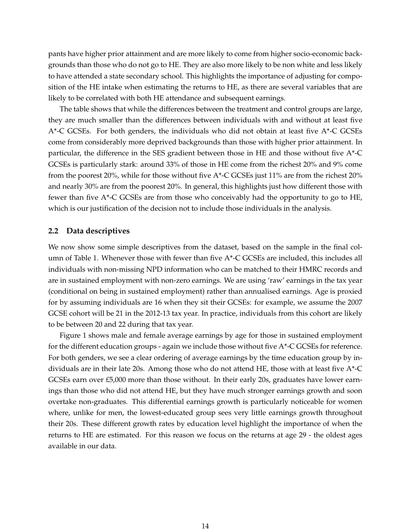<span id="page-14-0"></span>pants have higher prior attainment and are more likely to come from higher socio-economic backgrounds than those who do not go to HE. They are also more likely to be non white and less likely to have attended a state secondary school. This highlights the importance of adjusting for composition of the HE intake when estimating the returns to HE, as there are several variables that are likely to be correlated with both HE attendance and subsequent earnings.

The table shows that while the differences between the treatment and control groups are large, they are much smaller than the differences between individuals with and without at least five  $A^*$ -C GCSEs. For both genders, the individuals who did not obtain at least five  $A^*$ -C GCSEs come from considerably more deprived backgrounds than those with higher prior attainment. In particular, the difference in the SES gradient between those in HE and those without five A\*-C GCSEs is particularly stark: around 33% of those in HE come from the richest 20% and 9% come from the poorest 20%, while for those without five A\*-C GCSEs just 11% are from the richest 20% and nearly 30% are from the poorest 20%. In general, this highlights just how different those with fewer than five A\*-C GCSEs are from those who conceivably had the opportunity to go to HE, which is our justification of the decision not to include those individuals in the analysis.

#### **2.2 Data descriptives**

We now show some simple descriptives from the dataset, based on the sample in the final column of Table 1. Whenever those with fewer than five A\*-C GCSEs are included, this includes all individuals with non-missing NPD information who can be matched to their HMRC records and are in sustained employment with non-zero earnings. We are using 'raw' earnings in the tax year (conditional on being in sustained employment) rather than annualised earnings. Age is proxied for by assuming individuals are 16 when they sit their GCSEs: for example, we assume the 2007 GCSE cohort will be 21 in the 2012-13 tax year. In practice, individuals from this cohort are likely to be between 20 and 22 during that tax year.

Figure 1 shows male and female average earnings by age for those in sustained employment for the different education groups - again we include those without five A\*-C GCSEs for reference. For both genders, we see a clear ordering of average earnings by the time education group by individuals are in their late 20s. Among those who do not attend HE, those with at least five A\*-C GCSEs earn over £5,000 more than those without. In their early 20s, graduates have lower earnings than those who did not attend HE, but they have much stronger earnings growth and soon overtake non-graduates. This differential earnings growth is particularly noticeable for women where, unlike for men, the lowest-educated group sees very little earnings growth throughout their 20s. These different growth rates by education level highlight the importance of when the returns to HE are estimated. For this reason we focus on the returns at age 29 - the oldest ages available in our data.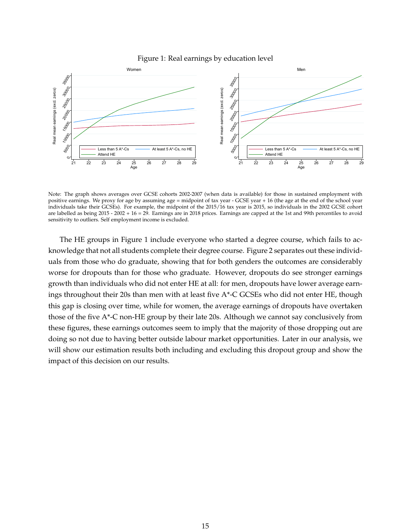

<span id="page-15-0"></span>

Note: The graph shows averages over GCSE cohorts 2002-2007 (when data is available) for those in sustained employment with positive earnings. We proxy for age by assuming age = midpoint of tax year - GCSE year + 16 (the age at the end of the school year individuals take their GCSEs). For example, the midpoint of the 2015/16 tax year is 2015, so individuals in the 2002 GCSE cohort are labelled as being 2015 - 2002 + 16 = 29. Earnings are in 2018 prices. Earnings are capped at the 1st and 99th percentiles to avoid sensitivity to outliers. Self employment income is excluded.

The HE groups in Figure 1 include everyone who started a degree course, which fails to acknowledge that not all students complete their degree course. Figure 2 separates out these individuals from those who do graduate, showing that for both genders the outcomes are considerably worse for dropouts than for those who graduate. However, dropouts do see stronger earnings growth than individuals who did not enter HE at all: for men, dropouts have lower average earnings throughout their 20s than men with at least five A\*-C GCSEs who did not enter HE, though this gap is closing over time, while for women, the average earnings of dropouts have overtaken those of the five A\*-C non-HE group by their late 20s. Although we cannot say conclusively from these figures, these earnings outcomes seem to imply that the majority of those dropping out are doing so not due to having better outside labour market opportunities. Later in our analysis, we will show our estimation results both including and excluding this dropout group and show the impact of this decision on our results.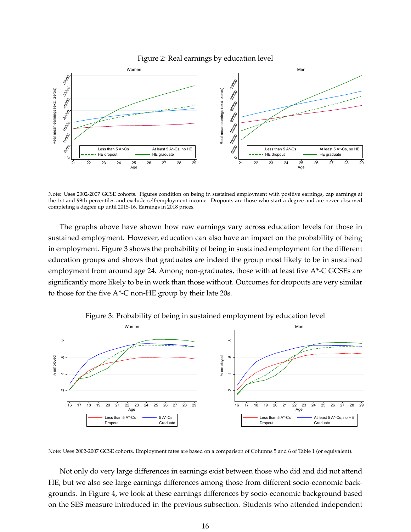

<span id="page-16-0"></span>

Note: Uses 2002-2007 GCSE cohorts. Figures condition on being in sustained employment with positive earnings, cap earnings at the 1st and 99th percentiles and exclude self-employment income. Dropouts are those who start a degree and are never observed completing a degree up until 2015-16. Earnings in 2018 prices.

The graphs above have shown how raw earnings vary across education levels for those in sustained employment. However, education can also have an impact on the probability of being in employment. Figure 3 shows the probability of being in sustained employment for the different education groups and shows that graduates are indeed the group most likely to be in sustained employment from around age 24. Among non-graduates, those with at least five A\*-C GCSEs are significantly more likely to be in work than those without. Outcomes for dropouts are very similar to those for the five  $A^*$ -C non-HE group by their late 20s.



Figure 3: Probability of being in sustained employment by education level

Note: Uses 2002-2007 GCSE cohorts. Employment rates are based on a comparison of Columns 5 and 6 of Table 1 (or equivalent).

Not only do very large differences in earnings exist between those who did and did not attend HE, but we also see large earnings differences among those from different socio-economic backgrounds. In Figure 4, we look at these earnings differences by socio-economic background based on the SES measure introduced in the previous subsection. Students who attended independent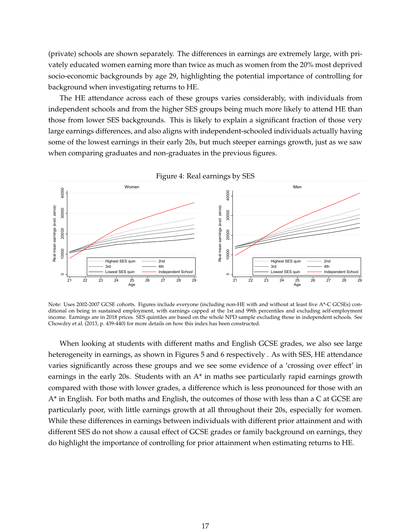<span id="page-17-0"></span>(private) schools are shown separately. The differences in earnings are extremely large, with privately educated women earning more than twice as much as women from the 20% most deprived socio-economic backgrounds by age 29, highlighting the potential importance of controlling for background when investigating returns to HE.

The HE attendance across each of these groups varies considerably, with individuals from independent schools and from the higher SES groups being much more likely to attend HE than those from lower SES backgrounds. This is likely to explain a significant fraction of those very large earnings differences, and also aligns with independent-schooled individuals actually having some of the lowest earnings in their early 20s, but much steeper earnings growth, just as we saw when comparing graduates and non-graduates in the previous figures.



Figure 4: Real earnings by SES

Note: Uses 2002-2007 GCSE cohorts. Figures include everyone (including non-HE with and without at least five A\*-C GCSEs) conditional on being in sustained employment, with earnings capped at the 1st and 99th percentiles and excluding self-employment income. Earnings are in 2018 prices. SES quintiles are based on the whole NPD sample excluding those in independent schools. See Chowdry et al. (2013, p. 439-440) for more details on how this index has been constructed.

When looking at students with different maths and English GCSE grades, we also see large heterogeneity in earnings, as shown in Figures 5 and 6 respectively . As with SES, HE attendance varies significantly across these groups and we see some evidence of a 'crossing over effect' in earnings in the early 20s. Students with an A\* in maths see particularly rapid earnings growth compared with those with lower grades, a difference which is less pronounced for those with an A\* in English. For both maths and English, the outcomes of those with less than a C at GCSE are particularly poor, with little earnings growth at all throughout their 20s, especially for women. While these differences in earnings between individuals with different prior attainment and with different SES do not show a causal effect of GCSE grades or family background on earnings, they do highlight the importance of controlling for prior attainment when estimating returns to HE.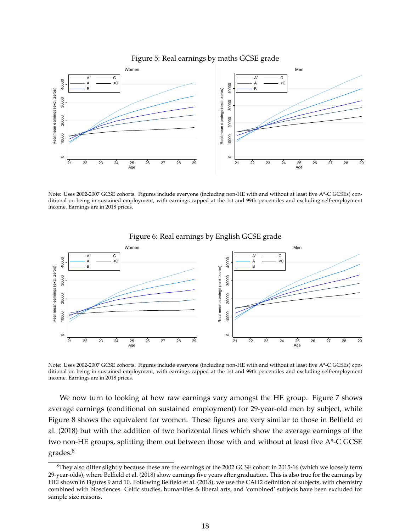<span id="page-18-0"></span>

Figure 5: Real earnings by maths GCSE grade

Note: Uses 2002-2007 GCSE cohorts. Figures include everyone (including non-HE with and without at least five A\*-C GCSEs) conditional on being in sustained employment, with earnings capped at the 1st and 99th percentiles and excluding self-employment income. Earnings are in 2018 prices.



Figure 6: Real earnings by English GCSE grade

Note: Uses 2002-2007 GCSE cohorts. Figures include everyone (including non-HE with and without at least five A\*-C GCSEs) conditional on being in sustained employment, with earnings capped at the 1st and 99th percentiles and excluding self-employment income. Earnings are in 2018 prices.

We now turn to looking at how raw earnings vary amongst the HE group. Figure 7 shows average earnings (conditional on sustained employment) for 29-year-old men by subject, while Figure 8 shows the equivalent for women. These figures are very similar to those in Belfield et al. (2018) but with the addition of two horizontal lines which show the average earnings of the two non-HE groups, splitting them out between those with and without at least five A\*-C GCSE grades.<sup>8</sup>

 $8$ They also differ slightly because these are the earnings of the 2002 GCSE cohort in 2015-16 (which we loosely term 29-year-olds), where Belfield et al. (2018) show earnings five years after graduation. This is also true for the earnings by HEI shown in Figures 9 and 10. Following Belfield et al. (2018), we use the CAH2 definition of subjects, with chemistry combined with biosciences. Celtic studies, humanities & liberal arts, and 'combined' subjects have been excluded for sample size reasons.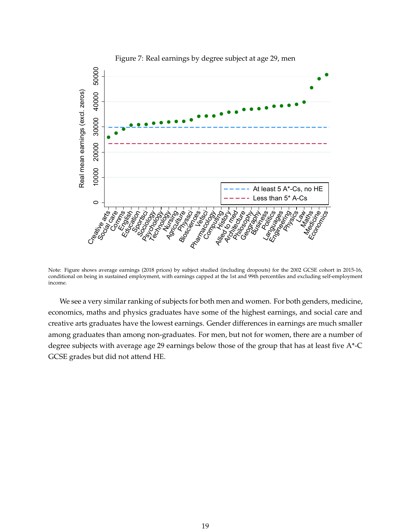<span id="page-19-0"></span>

Figure 7: Real earnings by degree subject at age 29, men

Note: Figure shows average earnings (2018 prices) by subject studied (including dropouts) for the 2002 GCSE cohort in 2015-16, conditional on being in sustained employment, with earnings capped at the 1st and 99th percentiles and excluding self-employment income.

We see a very similar ranking of subjects for both men and women. For both genders, medicine, economics, maths and physics graduates have some of the highest earnings, and social care and creative arts graduates have the lowest earnings. Gender differences in earnings are much smaller among graduates than among non-graduates. For men, but not for women, there are a number of degree subjects with average age 29 earnings below those of the group that has at least five A\*-C GCSE grades but did not attend HE.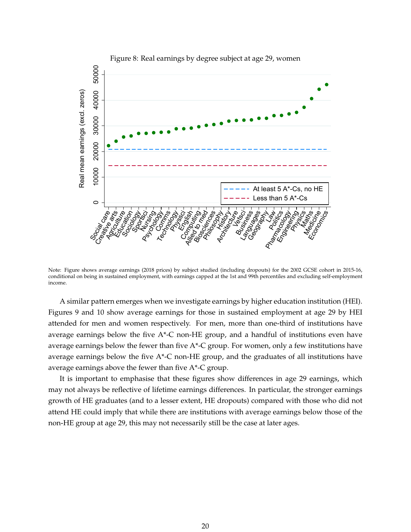<span id="page-20-0"></span>

Note: Figure shows average earnings (2018 prices) by subject studied (including dropouts) for the 2002 GCSE cohort in 2015-16, conditional on being in sustained employment, with earnings capped at the 1st and 99th percentiles and excluding self-employment income.

A similar pattern emerges when we investigate earnings by higher education institution (HEI). Figures 9 and 10 show average earnings for those in sustained employment at age 29 by HEI attended for men and women respectively. For men, more than one-third of institutions have average earnings below the five  $A^*$ -C non-HE group, and a handful of institutions even have average earnings below the fewer than five A\*-C group. For women, only a few institutions have average earnings below the five A\*-C non-HE group, and the graduates of all institutions have average earnings above the fewer than five A\*-C group.

It is important to emphasise that these figures show differences in age 29 earnings, which may not always be reflective of lifetime earnings differences. In particular, the stronger earnings growth of HE graduates (and to a lesser extent, HE dropouts) compared with those who did not attend HE could imply that while there are institutions with average earnings below those of the non-HE group at age 29, this may not necessarily still be the case at later ages.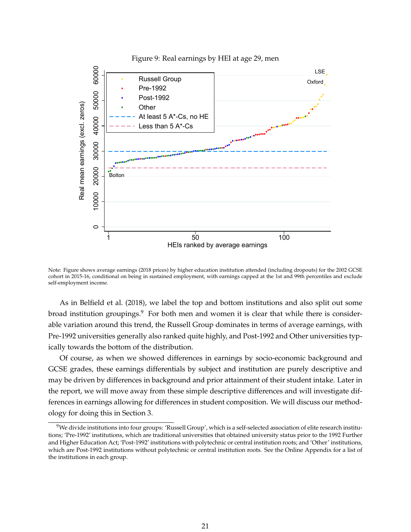<span id="page-21-0"></span>

Note: Figure shows average earnings (2018 prices) by higher education institution attended (including dropouts) for the 2002 GCSE cohort in 2015-16, conditional on being in sustained employment, with earnings capped at the 1st and 99th percentiles and exclude self-employment income.

As in Belfield et al. (2018), we label the top and bottom institutions and also split out some broad institution groupings. $9$  For both men and women it is clear that while there is considerable variation around this trend, the Russell Group dominates in terms of average earnings, with Pre-1992 universities generally also ranked quite highly, and Post-1992 and Other universities typically towards the bottom of the distribution.

Of course, as when we showed differences in earnings by socio-economic background and GCSE grades, these earnings differentials by subject and institution are purely descriptive and may be driven by differences in background and prior attainment of their student intake. Later in the report, we will move away from these simple descriptive differences and will investigate differences in earnings allowing for differences in student composition. We will discuss our methodology for doing this in Section 3.

<sup>&</sup>lt;sup>9</sup>We divide institutions into four groups: 'Russell Group', which is a self-selected association of elite research institutions; 'Pre-1992' institutions, which are traditional universities that obtained university status prior to the 1992 Further and Higher Education Act; 'Post-1992' institutions with polytechnic or central institution roots; and 'Other' institutions, which are Post-1992 institutions without polytechnic or central institution roots. See the Online Appendix for a list of the institutions in each group.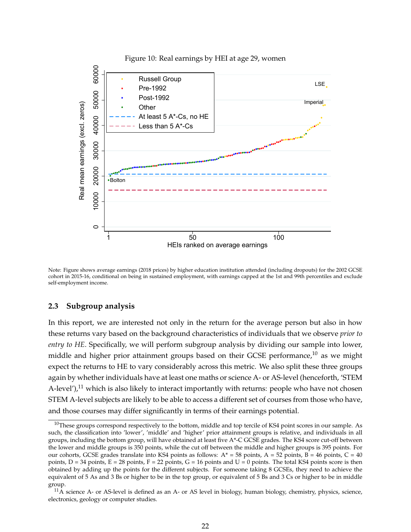<span id="page-22-0"></span>

Note: Figure shows average earnings (2018 prices) by higher education institution attended (including dropouts) for the 2002 GCSE cohort in 2015-16, conditional on being in sustained employment, with earnings capped at the 1st and 99th percentiles and exclude self-employment income.

#### **2.3 Subgroup analysis**

In this report, we are interested not only in the return for the average person but also in how these returns vary based on the background characteristics of individuals that we observe *prior to entry to HE*. Specifically, we will perform subgroup analysis by dividing our sample into lower, middle and higher prior attainment groups based on their GCSE performance,<sup>10</sup> as we might expect the returns to HE to vary considerably across this metric. We also split these three groups again by whether individuals have at least one maths or science A- or AS-level (henceforth, 'STEM A-level'), $^{11}$  which is also likely to interact importantly with returns: people who have not chosen STEM A-level subjects are likely to be able to access a different set of courses from those who have, and those courses may differ significantly in terms of their earnings potential.

 $10$ These groups correspond respectively to the bottom, middle and top tercile of KS4 point scores in our sample. As such, the classification into 'lower', 'middle' and 'higher' prior attainment groups is relative, and individuals in all groups, including the bottom group, will have obtained at least five A\*-C GCSE grades. The KS4 score cut-off between the lower and middle groups is 350 points, while the cut off between the middle and higher groups is 395 points. For our cohorts, GCSE grades translate into KS4 points as follows:  $A^* = 58$  points,  $A = 52$  points,  $B = 46$  points,  $C = 40$ points,  $D = 34$  points,  $E = 28$  points,  $F = 22$  points,  $G = 16$  points and  $U = 0$  points. The total KS4 points score is then obtained by adding up the points for the different subjects. For someone taking 8 GCSEs, they need to achieve the equivalent of 5 As and 3 Bs or higher to be in the top group, or equivalent of 5 Bs and 3 Cs or higher to be in middle group.

 $11\overline{A}$  science A- or AS-level is defined as an A- or AS level in biology, human biology, chemistry, physics, science, electronics, geology or computer studies.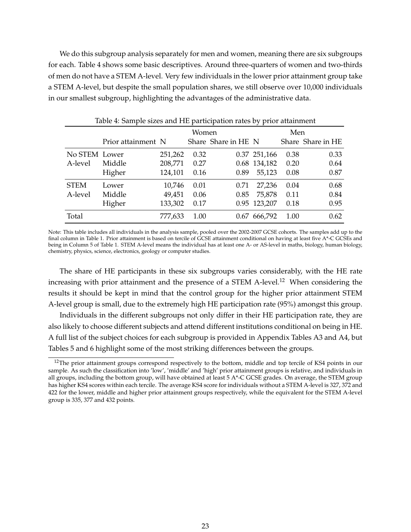We do this subgroup analysis separately for men and women, meaning there are six subgroups for each. Table 4 shows some basic descriptives. Around three-quarters of women and two-thirds of men do not have a STEM A-level. Very few individuals in the lower prior attainment group take a STEM A-level, but despite the small population shares, we still observe over 10,000 individuals in our smallest subgroup, highlighting the advantages of the administrative data.

|               | Table 4: Sample sizes and HE participation rates by prior attainment |         |      |                     |              |      |                   |  |  |
|---------------|----------------------------------------------------------------------|---------|------|---------------------|--------------|------|-------------------|--|--|
|               |                                                                      |         | Men  |                     |              |      |                   |  |  |
|               | Prior attainment N                                                   |         |      | Share Share in HE N |              |      | Share Share in HE |  |  |
| No STEM Lower |                                                                      | 251,262 | 0.32 |                     | 0.37 251,166 | 0.38 | 0.33              |  |  |
| A-level       | Middle                                                               | 208,771 | 0.27 |                     | 0.68 134,182 | 0.20 | 0.64              |  |  |
|               | Higher                                                               | 124,101 | 0.16 | 0.89                | 55,123       | 0.08 | 0.87              |  |  |
| <b>STEM</b>   | Lower                                                                | 10,746  | 0.01 | 0.71                | 27,236       | 0.04 | 0.68              |  |  |
| A-level       | Middle                                                               | 49,451  | 0.06 | 0.85                | 75,878       | 0.11 | 0.84              |  |  |
|               | Higher                                                               | 133,302 | 0.17 |                     | 0.95 123,207 | 0.18 | 0.95              |  |  |
| Total         |                                                                      | 777,633 | 1.00 | 0.67                | 666,792      | 1.00 | 0.62              |  |  |

Note: This table includes all individuals in the analysis sample, pooled over the 2002-2007 GCSE cohorts. The samples add up to the final column in Table 1. Prior attainment is based on tercile of GCSE attainment conditional on having at least five A\*-C GCSEs and being in Column 5 of Table 1. STEM A-level means the individual has at least one A- or AS-level in maths, biology, human biology, chemistry, physics, science, electronics, geology or computer studies.

The share of HE participants in these six subgroups varies considerably, with the HE rate increasing with prior attainment and the presence of a STEM A-level.<sup>12</sup> When considering the results it should be kept in mind that the control group for the higher prior attainment STEM A-level group is small, due to the extremely high HE participation rate (95%) amongst this group.

Individuals in the different subgroups not only differ in their HE participation rate, they are also likely to choose different subjects and attend different institutions conditional on being in HE. A full list of the subject choices for each subgroup is provided in Appendix Tables A3 and A4, but Tables 5 and 6 highlight some of the most striking differences between the groups.

<sup>&</sup>lt;sup>12</sup>The prior attainment groups correspond respectively to the bottom, middle and top tercile of KS4 points in our sample. As such the classification into 'low', 'middle' and 'high' prior attainment groups is relative, and individuals in all groups, including the bottom group, will have obtained at least 5 A\*-C GCSE grades. On average, the STEM group has higher KS4 scores within each tercile. The average KS4 score for individuals without a STEM A-level is 327, 372 and 422 for the lower, middle and higher prior attainment groups respectively, while the equivalent for the STEM A-level group is 335, 377 and 432 points.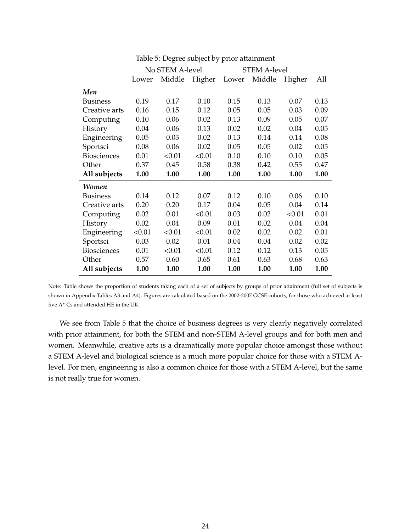|                    |        | No STEM A-level<br><b>STEM A-level</b> |        |       |        |        |      |  |  |
|--------------------|--------|----------------------------------------|--------|-------|--------|--------|------|--|--|
|                    | Lower  | Middle                                 | Higher | Lower | Middle | Higher | All  |  |  |
| Men                |        |                                        |        |       |        |        |      |  |  |
| <b>Business</b>    | 0.19   | 0.17                                   | 0.10   | 0.15  | 0.13   | 0.07   | 0.13 |  |  |
| Creative arts      | 0.16   | 0.15                                   | 0.12   | 0.05  | 0.05   | 0.03   | 0.09 |  |  |
| Computing          | 0.10   | 0.06                                   | 0.02   | 0.13  | 0.09   | 0.05   | 0.07 |  |  |
| History            | 0.04   | 0.06                                   | 0.13   | 0.02  | 0.02   | 0.04   | 0.05 |  |  |
| Engineering        | 0.05   | 0.03                                   | 0.02   | 0.13  | 0.14   | 0.14   | 0.08 |  |  |
| Sportsci           | 0.08   | 0.06                                   | 0.02   | 0.05  | 0.05   | 0.02   | 0.05 |  |  |
| <b>Biosciences</b> | 0.01   | < 0.01                                 | < 0.01 | 0.10  | 0.10   | 0.10   | 0.05 |  |  |
| Other              | 0.37   | 0.45                                   | 0.58   | 0.38  | 0.42   | 0.55   | 0.47 |  |  |
| All subjects       | 1.00   | 1.00                                   | 1.00   | 1.00  | 1.00   | 1.00   | 1.00 |  |  |
| <b>Women</b>       |        |                                        |        |       |        |        |      |  |  |
| <b>Business</b>    | 0.14   | 0.12                                   | 0.07   | 0.12  | 0.10   | 0.06   | 0.10 |  |  |
| Creative arts      | 0.20   | 0.20                                   | 0.17   | 0.04  | 0.05   | 0.04   | 0.14 |  |  |
| Computing          | 0.02   | 0.01                                   | < 0.01 | 0.03  | 0.02   | < 0.01 | 0.01 |  |  |
| History            | 0.02   | 0.04                                   | 0.09   | 0.01  | 0.02   | 0.04   | 0.04 |  |  |
| Engineering        | < 0.01 | < 0.01                                 | < 0.01 | 0.02  | 0.02   | 0.02   | 0.01 |  |  |
| Sportsci           | 0.03   | 0.02                                   | 0.01   | 0.04  | 0.04   | 0.02   | 0.02 |  |  |
| <b>Biosciences</b> | 0.01   | < 0.01                                 | < 0.01 | 0.12  | 0.12   | 0.13   | 0.05 |  |  |
| Other              | 0.57   | 0.60                                   | 0.65   | 0.61  | 0.63   | 0.68   | 0.63 |  |  |
| All subjects       | 1.00   | 1.00                                   | 1.00   | 1.00  | 1.00   | 1.00   | 1.00 |  |  |

Table 5: Degree subject by prior attainment

Note: Table shows the proportion of students taking each of a set of subjects by groups of prior attainment (full set of subjects is shown in Appendix Tables A3 and A4). Figures are calculated based on the 2002-2007 GCSE cohorts, for those who achieved at least five A\*-Cs and attended HE in the UK.

We see from Table 5 that the choice of business degrees is very clearly negatively correlated with prior attainment, for both the STEM and non-STEM A-level groups and for both men and women. Meanwhile, creative arts is a dramatically more popular choice amongst those without a STEM A-level and biological science is a much more popular choice for those with a STEM Alevel. For men, engineering is also a common choice for those with a STEM A-level, but the same is not really true for women.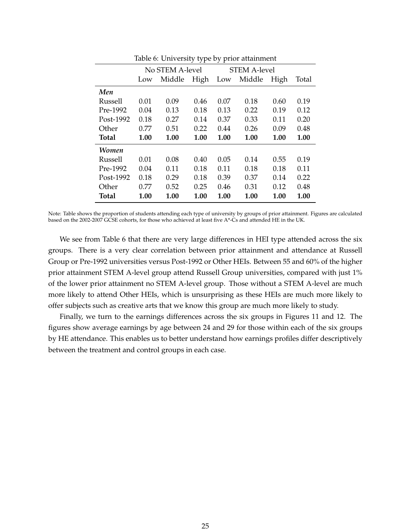|                | Table 0. Chiverbity type by prior attainment |                 |      |                     |        |      |       |  |  |
|----------------|----------------------------------------------|-----------------|------|---------------------|--------|------|-------|--|--|
|                |                                              | No STEM A-level |      | <b>STEM A-level</b> |        |      |       |  |  |
|                | High<br>Middle<br>Low                        |                 |      | Low                 | Middle | High | Total |  |  |
| Men            |                                              |                 |      |                     |        |      |       |  |  |
| Russell        | 0.01                                         | 0.09            | 0.46 | 0.07                | 0.18   | 0.60 | 0.19  |  |  |
| Pre-1992       | 0.04                                         | 0.13            | 0.18 | 0.13                | 0.22   | 0.19 | 0.12  |  |  |
| Post-1992      | 0.18                                         | 0.27            | 0.14 | 0.37                | 0.33   | 0.11 | 0.20  |  |  |
| Other          | 0.77                                         | 0.51            | 0.22 | 0.44                | 0.26   | 0.09 | 0.48  |  |  |
| <b>Total</b>   | 1.00                                         | 1.00            | 1.00 | 1.00                | 1.00   | 1.00 | 1.00  |  |  |
| Women          |                                              |                 |      |                     |        |      |       |  |  |
| <b>Russell</b> | 0.01                                         | 0.08            | 0.40 | 0.05                | 0.14   | 0.55 | 0.19  |  |  |
| Pre-1992       | 0.04                                         | 0.11            | 0.18 | 0.11                | 0.18   | 0.18 | 0.11  |  |  |
| Post-1992      | 0.18                                         | 0.29            | 0.18 | 0.39                | 0.37   | 0.14 | 0.22  |  |  |
| Other          | 0.77                                         | 0.52            | 0.25 | 0.46                | 0.31   | 0.12 | 0.48  |  |  |
| <b>Total</b>   | 1.00                                         | 1.00            | 1.00 | 1.00                | 1.00   | 1.00 | 1.00  |  |  |

Table 6: University type by prior attainment

Note: Table shows the proportion of students attending each type of university by groups of prior attainment. Figures are calculated based on the 2002-2007 GCSE cohorts, for those who achieved at least five A\*-Cs and attended HE in the UK.

We see from Table 6 that there are very large differences in HEI type attended across the six groups. There is a very clear correlation between prior attainment and attendance at Russell Group or Pre-1992 universities versus Post-1992 or Other HEIs. Between 55 and 60% of the higher prior attainment STEM A-level group attend Russell Group universities, compared with just 1% of the lower prior attainment no STEM A-level group. Those without a STEM A-level are much more likely to attend Other HEIs, which is unsurprising as these HEIs are much more likely to offer subjects such as creative arts that we know this group are much more likely to study.

Finally, we turn to the earnings differences across the six groups in Figures 11 and 12. The figures show average earnings by age between 24 and 29 for those within each of the six groups by HE attendance. This enables us to better understand how earnings profiles differ descriptively between the treatment and control groups in each case.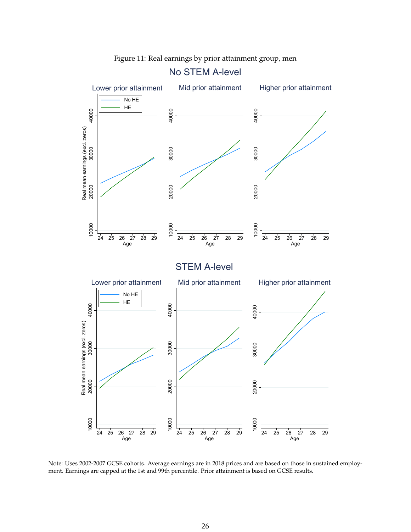<span id="page-26-0"></span>

Figure 11: Real earnings by prior attainment group, men

Note: Uses 2002-2007 GCSE cohorts. Average earnings are in 2018 prices and are based on those in sustained employment. Earnings are capped at the 1st and 99th percentile. Prior attainment is based on GCSE results.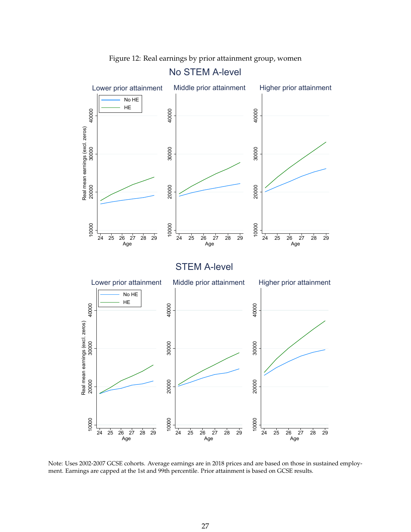<span id="page-27-0"></span>

Figure 12: Real earnings by prior attainment group, women

Note: Uses 2002-2007 GCSE cohorts. Average earnings are in 2018 prices and are based on those in sustained employment. Earnings are capped at the 1st and 99th percentile. Prior attainment is based on GCSE results.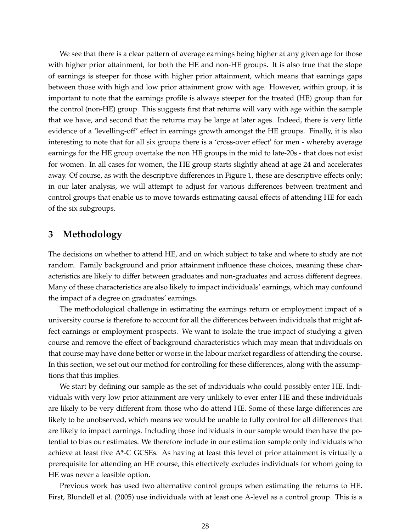<span id="page-28-0"></span>We see that there is a clear pattern of average earnings being higher at any given age for those with higher prior attainment, for both the HE and non-HE groups. It is also true that the slope of earnings is steeper for those with higher prior attainment, which means that earnings gaps between those with high and low prior attainment grow with age. However, within group, it is important to note that the earnings profile is always steeper for the treated (HE) group than for the control (non-HE) group. This suggests first that returns will vary with age within the sample that we have, and second that the returns may be large at later ages. Indeed, there is very little evidence of a 'levelling-off' effect in earnings growth amongst the HE groups. Finally, it is also interesting to note that for all six groups there is a 'cross-over effect' for men - whereby average earnings for the HE group overtake the non HE groups in the mid to late-20s - that does not exist for women. In all cases for women, the HE group starts slightly ahead at age 24 and accelerates away. Of course, as with the descriptive differences in Figure 1, these are descriptive effects only; in our later analysis, we will attempt to adjust for various differences between treatment and control groups that enable us to move towards estimating causal effects of attending HE for each of the six subgroups.

## **3 Methodology**

The decisions on whether to attend HE, and on which subject to take and where to study are not random. Family background and prior attainment influence these choices, meaning these characteristics are likely to differ between graduates and non-graduates and across different degrees. Many of these characteristics are also likely to impact individuals' earnings, which may confound the impact of a degree on graduates' earnings.

The methodological challenge in estimating the earnings return or employment impact of a university course is therefore to account for all the differences between individuals that might affect earnings or employment prospects. We want to isolate the true impact of studying a given course and remove the effect of background characteristics which may mean that individuals on that course may have done better or worse in the labour market regardless of attending the course. In this section, we set out our method for controlling for these differences, along with the assumptions that this implies.

We start by defining our sample as the set of individuals who could possibly enter HE. Individuals with very low prior attainment are very unlikely to ever enter HE and these individuals are likely to be very different from those who do attend HE. Some of these large differences are likely to be unobserved, which means we would be unable to fully control for all differences that are likely to impact earnings. Including those individuals in our sample would then have the potential to bias our estimates. We therefore include in our estimation sample only individuals who achieve at least five A\*-C GCSEs. As having at least this level of prior attainment is virtually a prerequisite for attending an HE course, this effectively excludes individuals for whom going to HE was never a feasible option.

Previous work has used two alternative control groups when estimating the returns to HE. First, Blundell et al. (2005) use individuals with at least one A-level as a control group. This is a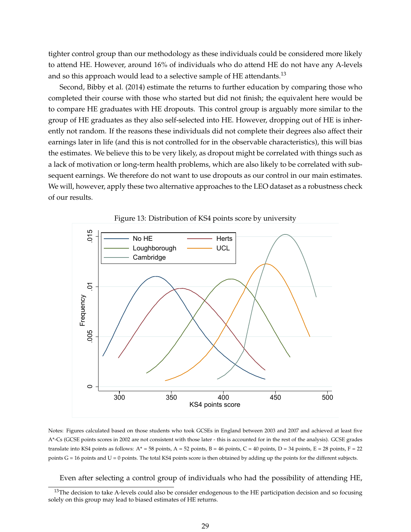<span id="page-29-0"></span>tighter control group than our methodology as these individuals could be considered more likely to attend HE. However, around 16% of individuals who do attend HE do not have any A-levels and so this approach would lead to a selective sample of HE attendants.<sup>13</sup>

Second, Bibby et al. (2014) estimate the returns to further education by comparing those who completed their course with those who started but did not finish; the equivalent here would be to compare HE graduates with HE dropouts. This control group is arguably more similar to the group of HE graduates as they also self-selected into HE. However, dropping out of HE is inherently not random. If the reasons these individuals did not complete their degrees also affect their earnings later in life (and this is not controlled for in the observable characteristics), this will bias the estimates. We believe this to be very likely, as dropout might be correlated with things such as a lack of motivation or long-term health problems, which are also likely to be correlated with subsequent earnings. We therefore do not want to use dropouts as our control in our main estimates. We will, however, apply these two alternative approaches to the LEO dataset as a robustness check of our results.





Notes: Figures calculated based on those students who took GCSEs in England between 2003 and 2007 and achieved at least five A\*-Cs (GCSE points scores in 2002 are not consistent with those later - this is accounted for in the rest of the analysis). GCSE grades translate into KS4 points as follows:  $A^* = 58$  points,  $A = 52$  points,  $B = 46$  points,  $C = 40$  points,  $D = 34$  points,  $E = 28$  points,  $F = 22$ points G = 16 points and U = 0 points. The total KS4 points score is then obtained by adding up the points for the different subjects.

Even after selecting a control group of individuals who had the possibility of attending HE,

 $13$ The decision to take A-levels could also be consider endogenous to the HE participation decision and so focusing solely on this group may lead to biased estimates of HE returns.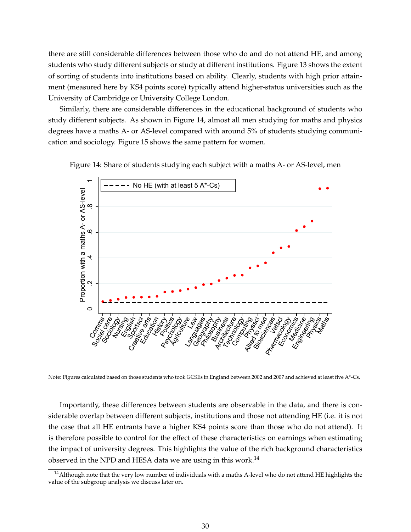<span id="page-30-0"></span>there are still considerable differences between those who do and do not attend HE, and among students who study different subjects or study at different institutions. Figure 13 shows the extent of sorting of students into institutions based on ability. Clearly, students with high prior attainment (measured here by KS4 points score) typically attend higher-status universities such as the University of Cambridge or University College London.

Similarly, there are considerable differences in the educational background of students who study different subjects. As shown in Figure 14, almost all men studying for maths and physics degrees have a maths A- or AS-level compared with around 5% of students studying communication and sociology. Figure 15 shows the same pattern for women.

Figure 14: Share of students studying each subject with a maths A- or AS-level, men



Note: Figures calculated based on those students who took GCSEs in England between 2002 and 2007 and achieved at least five A\*-Cs.

Importantly, these differences between students are observable in the data, and there is considerable overlap between different subjects, institutions and those not attending HE (i.e. it is not the case that all HE entrants have a higher KS4 points score than those who do not attend). It is therefore possible to control for the effect of these characteristics on earnings when estimating the impact of university degrees. This highlights the value of the rich background characteristics observed in the NPD and HESA data we are using in this work.<sup>14</sup>

<sup>&</sup>lt;sup>14</sup> Although note that the very low number of individuals with a maths A-level who do not attend HE highlights the value of the subgroup analysis we discuss later on.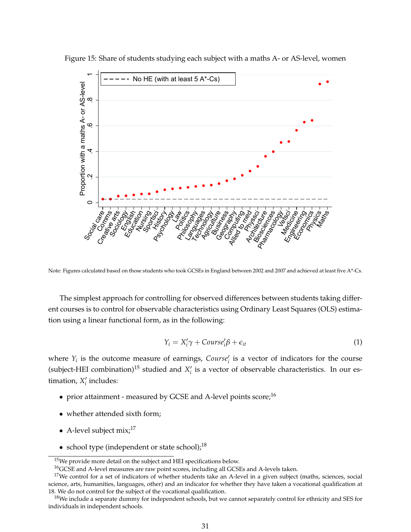

<span id="page-31-0"></span>Figure 15: Share of students studying each subject with a maths A- or AS-level, women

Note: Figures calculated based on those students who took GCSEs in England between 2002 and 2007 and achieved at least five A\*-Cs.

The simplest approach for controlling for observed differences between students taking different courses is to control for observable characteristics using Ordinary Least Squares (OLS) estimation using a linear functional form, as in the following:

$$
Y_i = X'_i \gamma + \text{Course}'_i \beta + \epsilon_{it} \tag{1}
$$

where  $Y_i$  is the outcome measure of earnings, *Course*<sup> $\ell$ </sup> is a vector of indicators for the course (subject-HEI combination)<sup>15</sup> studied and  $X_i'$  is a vector of observable characteristics. In our es $t$  imation,  $X_i$  includes:

- prior attainment measured by GCSE and A-level points  $score<sup>16</sup>$
- whether attended sixth form;
- A-level subject  $mix<sup>17</sup>$
- school type (independent or state school); $^{18}$

 $15$ We provide more detail on the subject and HEI specifications below.

<sup>&</sup>lt;sup>16</sup>GCSE and A-level measures are raw point scores, including all GCSEs and A-levels taken.

<sup>&</sup>lt;sup>17</sup>We control for a set of indicators of whether students take an A-level in a given subject (maths, sciences, social science, arts, humanities, languages, other) and an indicator for whether they have taken a vocational qualification at 18. We do not control for the subject of the vocational qualification.

 $18$ We include a separate dummy for independent schools, but we cannot separately control for ethnicity and SES for individuals in independent schools.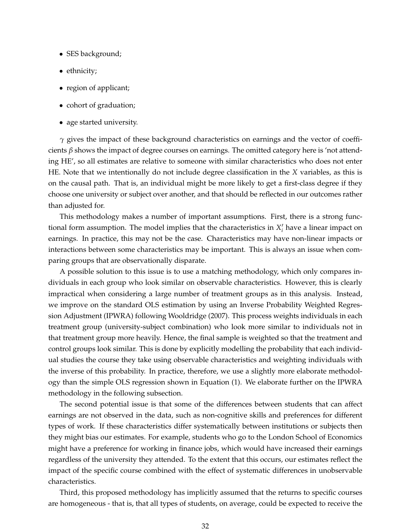- SES background;
- ethnicity;
- region of applicant;
- cohort of graduation;
- age started university.

*γ* gives the impact of these background characteristics on earnings and the vector of coefficients *β* shows the impact of degree courses on earnings. The omitted category here is 'not attending HE', so all estimates are relative to someone with similar characteristics who does not enter HE. Note that we intentionally do not include degree classification in the *X* variables, as this is on the causal path. That is, an individual might be more likely to get a first-class degree if they choose one university or subject over another, and that should be reflected in our outcomes rather than adjusted for.

This methodology makes a number of important assumptions. First, there is a strong functional form assumption. The model implies that the characteristics in  $X_i'$  have a linear impact on earnings. In practice, this may not be the case. Characteristics may have non-linear impacts or interactions between some characteristics may be important. This is always an issue when comparing groups that are observationally disparate.

A possible solution to this issue is to use a matching methodology, which only compares individuals in each group who look similar on observable characteristics. However, this is clearly impractical when considering a large number of treatment groups as in this analysis. Instead, we improve on the standard OLS estimation by using an Inverse Probability Weighted Regression Adjustment (IPWRA) following Wooldridge (2007). This process weights individuals in each treatment group (university-subject combination) who look more similar to individuals not in that treatment group more heavily. Hence, the final sample is weighted so that the treatment and control groups look similar. This is done by explicitly modelling the probability that each individual studies the course they take using observable characteristics and weighting individuals with the inverse of this probability. In practice, therefore, we use a slightly more elaborate methodology than the simple OLS regression shown in Equation (1). We elaborate further on the IPWRA methodology in the following subsection.

The second potential issue is that some of the differences between students that can affect earnings are not observed in the data, such as non-cognitive skills and preferences for different types of work. If these characteristics differ systematically between institutions or subjects then they might bias our estimates. For example, students who go to the London School of Economics might have a preference for working in finance jobs, which would have increased their earnings regardless of the university they attended. To the extent that this occurs, our estimates reflect the impact of the specific course combined with the effect of systematic differences in unobservable characteristics.

Third, this proposed methodology has implicitly assumed that the returns to specific courses are homogeneous - that is, that all types of students, on average, could be expected to receive the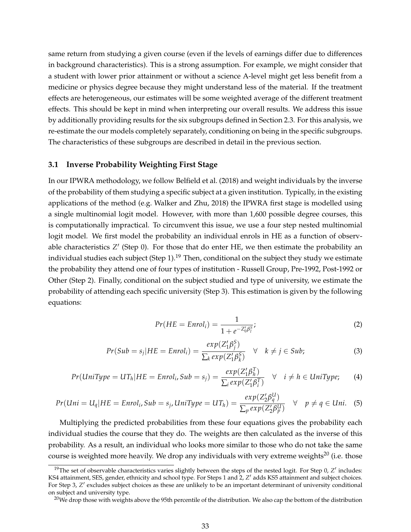<span id="page-33-0"></span>same return from studying a given course (even if the levels of earnings differ due to differences in background characteristics). This is a strong assumption. For example, we might consider that a student with lower prior attainment or without a science A-level might get less benefit from a medicine or physics degree because they might understand less of the material. If the treatment effects are heterogeneous, our estimates will be some weighted average of the different treatment effects. This should be kept in mind when interpreting our overall results. We address this issue by additionally providing results for the six subgroups defined in Section 2.3. For this analysis, we re-estimate the our models completely separately, conditioning on being in the specific subgroups. The characteristics of these subgroups are described in detail in the previous section.

#### **3.1 Inverse Probability Weighting First Stage**

In our IPWRA methodology, we follow Belfield et al. (2018) and weight individuals by the inverse of the probability of them studying a specific subject at a given institution. Typically, in the existing applications of the method (e.g. Walker and Zhu, 2018) the IPWRA first stage is modelled using a single multinomial logit model. However, with more than 1,600 possible degree courses, this is computationally impractical. To circumvent this issue, we use a four step nested multinomial logit model. We first model the probability an individual enrols in HE as a function of observable characteristics  $Z'$  (Step 0). For those that do enter HE, we then estimate the probability an individual studies each subject (Step 1).<sup>19</sup> Then, conditional on the subject they study we estimate the probability they attend one of four types of institution - Russell Group, Pre-1992, Post-1992 or Other (Step 2). Finally, conditional on the subject studied and type of university, we estimate the probability of attending each specific university (Step 3). This estimation is given by the following equations:

$$
Pr(HE = Enroli) = \frac{1}{1 + e^{-Z'_0 \beta_i^S}};
$$
\n(2)

$$
Pr(Sub = s_j | HE = Enrol_i) = \frac{exp(Z_1'B_j^S)}{\sum_k exp(Z_1'B_k^S)} \quad \forall \quad k \neq j \in Sub;
$$
 (3)

$$
Pr(UniType = UT_h|HE = Enrol_i, Sub = s_j) = \frac{exp(Z_1'B_h^T)}{\sum_i exp(Z_1'B_i^T)} \quad \forall \quad i \neq h \in UniType; \tag{4}
$$

$$
Pr(Uni = U_q | HE = Enrol_i, Sub = s_j, UniType = UT_h) = \frac{exp(Z'_2 \beta_q^U)}{\sum_p exp(Z'_2 \beta_p^U)} \quad \forall \quad p \neq q \in Uni. \tag{5}
$$

Multiplying the predicted probabilities from these four equations gives the probability each individual studies the course that they do. The weights are then calculated as the inverse of this probability. As a result, an individual who looks more similar to those who do not take the same course is weighted more heavily. We drop any individuals with very extreme weights<sup>20</sup> (i.e. those

<sup>&</sup>lt;sup>19</sup>The set of observable characteristics varies slightly between the steps of the nested logit. For Step 0,  $Z'$  includes: KS4 attainment, SES, gender, ethnicity and school type. For Steps 1 and 2, Z' adds KS5 attainment and subject choices. For Step 3, *Z'* excludes subject choices as these are unlikely to be an important determinant of university conditional on subject and university type.

 $20$ We drop those with weights above the 95th percentile of the distribution. We also cap the bottom of the distribution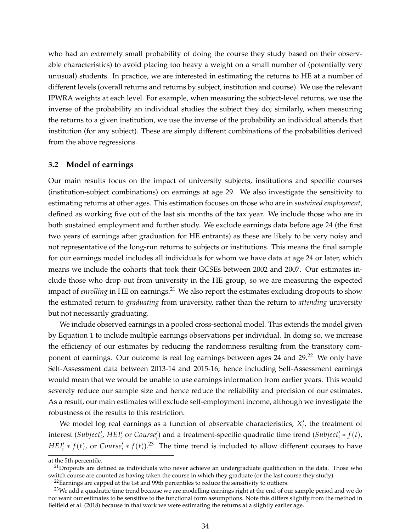<span id="page-34-0"></span>who had an extremely small probability of doing the course they study based on their observable characteristics) to avoid placing too heavy a weight on a small number of (potentially very unusual) students. In practice, we are interested in estimating the returns to HE at a number of different levels (overall returns and returns by subject, institution and course). We use the relevant IPWRA weights at each level. For example, when measuring the subject-level returns, we use the inverse of the probability an individual studies the subject they do; similarly, when measuring the returns to a given institution, we use the inverse of the probability an individual attends that institution (for any subject). These are simply different combinations of the probabilities derived from the above regressions.

#### **3.2 Model of earnings**

Our main results focus on the impact of university subjects, institutions and specific courses (institution-subject combinations) on earnings at age 29. We also investigate the sensitivity to estimating returns at other ages. This estimation focuses on those who are in *sustained employment*, defined as working five out of the last six months of the tax year. We include those who are in both sustained employment and further study. We exclude earnings data before age 24 (the first two years of earnings after graduation for HE entrants) as these are likely to be very noisy and not representative of the long-run returns to subjects or institutions. This means the final sample for our earnings model includes all individuals for whom we have data at age 24 or later, which means we include the cohorts that took their GCSEs between 2002 and 2007. Our estimates include those who drop out from university in the HE group, so we are measuring the expected impact of *enrolling* in HE on earnings.<sup>21</sup> We also report the estimates excluding dropouts to show the estimated return to *graduating* from university, rather than the return to *attending* university but not necessarily graduating.

We include observed earnings in a pooled cross-sectional model. This extends the model given by Equation 1 to include multiple earnings observations per individual. In doing so, we increase the efficiency of our estimates by reducing the randomness resulting from the transitory component of earnings. Our outcome is real log earnings between ages 24 and 29.<sup>22</sup> We only have Self-Assessment data between 2013-14 and 2015-16; hence including Self-Assessment earnings would mean that we would be unable to use earnings information from earlier years. This would severely reduce our sample size and hence reduce the reliability and precision of our estimates. As a result, our main estimates will exclude self-employment income, although we investigate the robustness of the results to this restriction.

We model log real earnings as a function of observable characteristics,  $X'_{i}$ , the treatment of  $\text{interest (Subject'_{i'} HEI'_{i} \text{ or } Course'_{i})$  and a treatment-specific quadratic time trend  $(\text{Subject'_{i} * f(t)})$  $HEI'_{i} * f(t)$ , or *Course'*<sub>i</sub>  $* f(t)$ .<sup>23</sup> The time trend is included to allow different courses to have

at the 5th percentile.

 $21$ Dropouts are defined as individuals who never achieve an undergraduate qualification in the data. Those who switch course are counted as having taken the course in which they graduate (or the last course they study).

 $22$ Earnings are capped at the 1st and 99th percentiles to reduce the sensitivity to outliers.

<sup>&</sup>lt;sup>23</sup>We add a quadratic time trend because we are modelling earnings right at the end of our sample period and we do not want our estimates to be sensitive to the functional form assumptions. Note this differs slightly from the method in Belfield et al. (2018) because in that work we were estimating the returns at a slightly earlier age.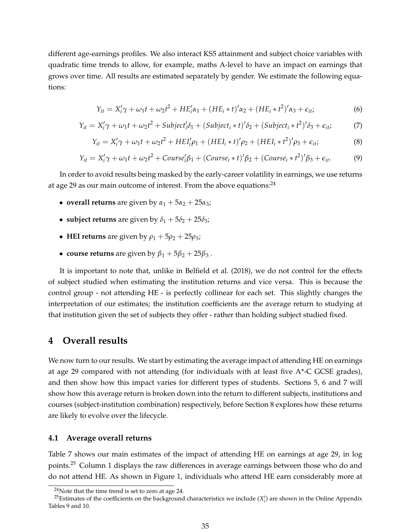<span id="page-35-0"></span>different age-earnings profiles. We also interact KS5 attainment and subject choice variables with quadratic time trends to allow, for example, maths A-level to have an impact on earnings that grows over time. All results are estimated separately by gender. We estimate the following equations:

$$
Y_{it} = X'_i \gamma + \omega_1 t + \omega_2 t^2 + HE'_i \alpha_1 + (HE_i * t)' \alpha_2 + (HE_i * t^2)' \alpha_3 + \epsilon_{it};
$$
\n(6)

$$
Y_{it} = X_i' \gamma + \omega_1 t + \omega_2 t^2 + \text{Subject}_i' \delta_1 + (\text{Subject}_i * t)' \delta_2 + (\text{Subject}_i * t^2)' \delta_3 + \epsilon_{it};\tag{7}
$$

$$
Y_{it} = X'_i \gamma + \omega_1 t + \omega_2 t^2 + HEI'_i \rho_1 + (HEI_i * t)' \rho_2 + (HEI_i * t^2)' \rho_3 + \epsilon_{it};
$$
 (8)

$$
Y_{it} = X_i'\gamma + \omega_1 t + \omega_2 t^2 + \text{Course}_i'\beta_1 + (\text{Course}_i * t)'\beta_2 + (\text{Course}_i * t^2)'\beta_3 + \epsilon_{it}. \tag{9}
$$

In order to avoid results being masked by the early-career volatility in earnings, we use returns at age 29 as our main outcome of interest. From the above equations:  $24$ 

- **overall returns** are given by  $\alpha_1 + 5\alpha_2 + 25\alpha_3$ ;
- **subject returns** are given by  $\delta_1 + 5\delta_2 + 25\delta_3$ ;
- **HEI returns** are given by  $\rho_1 + 5\rho_2 + 25\rho_3$ ;
- **course returns** are given by  $\beta_1 + 5\beta_2 + 25\beta_3$ .

It is important to note that, unlike in Belfield et al. (2018), we do not control for the effects of subject studied when estimating the institution returns and vice versa. This is because the control group - not attending HE - is perfectly collinear for each set. This slightly changes the interpretation of our estimates; the institution coefficients are the average return to studying at that institution given the set of subjects they offer - rather than holding subject studied fixed.

### **4 Overall results**

We now turn to our results. We start by estimating the average impact of attending HE on earnings at age 29 compared with not attending (for individuals with at least five A\*-C GCSE grades), and then show how this impact varies for different types of students. Sections 5, 6 and 7 will show how this average return is broken down into the return to different subjects, institutions and courses (subject-institution combination) respectively, before Section 8 explores how these returns are likely to evolve over the lifecycle.

#### **4.1 Average overall returns**

Table 7 shows our main estimates of the impact of attending HE on earnings at age 29, in log points.<sup>25</sup> Column 1 displays the raw differences in average earnings between those who do and do not attend HE. As shown in Figure 1, individuals who attend HE earn considerably more at

<sup>24</sup>Note that the time trend is set to zero at age 24.

<sup>&</sup>lt;sup>25</sup>Estimates of the coefficients on the background characteristics we include  $(X'_i)$  are shown in the Online Appendix Tables 9 and 10.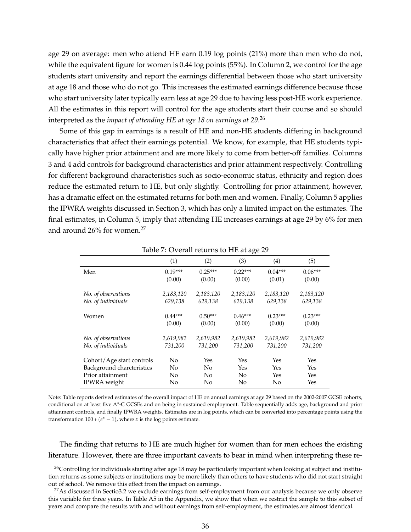age 29 on average: men who attend HE earn 0.19 log points (21%) more than men who do not, while the equivalent figure for women is 0.44 log points (55%). In Column 2, we control for the age students start university and report the earnings differential between those who start university at age 18 and those who do not go. This increases the estimated earnings difference because those who start university later typically earn less at age 29 due to having less post-HE work experience. All the estimates in this report will control for the age students start their course and so should interpreted as the *impact of attending HE at age 18 on earnings at 29*. 26

Some of this gap in earnings is a result of HE and non-HE students differing in background characteristics that affect their earnings potential. We know, for example, that HE students typically have higher prior attainment and are more likely to come from better-off families. Columns 3 and 4 add controls for background characteristics and prior attainment respectively. Controlling for different background characteristics such as socio-economic status, ethnicity and region does reduce the estimated return to HE, but only slightly. Controlling for prior attainment, however, has a dramatic effect on the estimated returns for both men and women. Finally, Column 5 applies the IPWRA weights discussed in Section 3, which has only a limited impact on the estimates. The final estimates, in Column 5, imply that attending HE increases earnings at age 29 by 6% for men and around 26% for women.<sup>27</sup>

|                           |           | $\frac{1}{2}$ . Chain retains to the at age $\frac{1}{2}$ |           |           |           |
|---------------------------|-----------|-----------------------------------------------------------|-----------|-----------|-----------|
|                           | (1)       | (2)                                                       | (3)       | (4)       | (5)       |
| Men                       | $0.19***$ | $0.25***$                                                 | $0.22***$ | $0.04***$ | $0.06***$ |
|                           | (0.00)    | (0.00)                                                    | (0.00)    | (0.01)    | (0.00)    |
|                           |           |                                                           |           |           |           |
| No. of observations       | 2,183,120 | 2,183,120                                                 | 2,183,120 | 2,183,120 | 2,183,120 |
| No. of individuals        | 629,138   | 629,138                                                   | 629,138   | 629,138   | 629,138   |
|                           |           |                                                           |           |           |           |
| Women                     | $0.44***$ | $0.50***$                                                 | $0.46***$ | $0.23***$ | $0.23***$ |
|                           | (0.00)    | (0.00)                                                    | (0.00)    | (0.00)    | (0.00)    |
|                           |           |                                                           |           |           |           |
| No. of observations       | 2,619,982 | 2,619,982                                                 | 2,619,982 | 2,619,982 | 2,619,982 |
| No. of individuals        | 731,200   | 731,200                                                   | 731,200   | 731,200   | 731,200   |
|                           |           |                                                           |           |           |           |
| Cohort/Age start controls | No        | Yes                                                       | Yes       | Yes       | Yes       |
| Background charcteristics | No        | N <sub>o</sub>                                            | Yes       | Yes       | Yes       |
| Prior attainment          | No        | No                                                        | No        | Yes       | Yes       |
| IPWRA weight              | No        | No                                                        | No        | No        | Yes       |

Table 7: Overall returns to HE at age 29

Note: Table reports derived estimates of the overall impact of HE on annual earnings at age 29 based on the 2002-2007 GCSE cohorts, conditional on at least five A\*-C GCSEs and on being in sustained employment. Table sequentially adds age, background and prior attainment controls, and finally IPWRA weights. Estimates are in log points, which can be converted into percentage points using the transformation  $100 * (e^x - 1)$ , where *x* is the log points estimate.

The finding that returns to HE are much higher for women than for men echoes the existing literature. However, there are three important caveats to bear in mind when interpreting these re-

<sup>&</sup>lt;sup>26</sup>Controlling for individuals starting after age 18 may be particularly important when looking at subject and institution returns as some subjects or institutions may be more likely than others to have students who did not start straight out of school. We remove this effect from the impact on earnings.

 $27$ As discussed in Sectio3.2 we exclude earnings from self-employment from our analysis because we only observe this variable for three years. In Table A5 in the Appendix, we show that when we restrict the sample to this subset of years and compare the results with and without earnings from self-employment, the estimates are almost identical.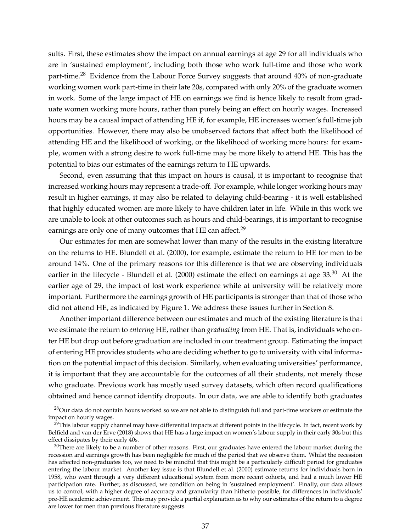sults. First, these estimates show the impact on annual earnings at age 29 for all individuals who are in 'sustained employment', including both those who work full-time and those who work part-time.<sup>28</sup> Evidence from the Labour Force Survey suggests that around 40% of non-graduate working women work part-time in their late 20s, compared with only 20% of the graduate women in work. Some of the large impact of HE on earnings we find is hence likely to result from graduate women working more hours, rather than purely being an effect on hourly wages. Increased hours may be a causal impact of attending HE if, for example, HE increases women's full-time job opportunities. However, there may also be unobserved factors that affect both the likelihood of attending HE and the likelihood of working, or the likelihood of working more hours: for example, women with a strong desire to work full-time may be more likely to attend HE. This has the potential to bias our estimates of the earnings return to HE upwards.

Second, even assuming that this impact on hours is causal, it is important to recognise that increased working hours may represent a trade-off. For example, while longer working hours may result in higher earnings, it may also be related to delaying child-bearing - it is well established that highly educated women are more likely to have children later in life. While in this work we are unable to look at other outcomes such as hours and child-bearings, it is important to recognise earnings are only one of many outcomes that HE can affect.<sup>29</sup>

Our estimates for men are somewhat lower than many of the results in the existing literature on the returns to HE. Blundell et al. (2000), for example, estimate the return to HE for men to be around 14%. One of the primary reasons for this difference is that we are observing individuals earlier in the lifecycle - Blundell et al. (2000) estimate the effect on earnings at age 33.<sup>30</sup> At the earlier age of 29, the impact of lost work experience while at university will be relatively more important. Furthermore the earnings growth of HE participants is stronger than that of those who did not attend HE, as indicated by Figure 1. We address these issues further in Section 8.

Another important difference between our estimates and much of the existing literature is that we estimate the return to *entering* HE, rather than *graduating* from HE. That is, individuals who enter HE but drop out before graduation are included in our treatment group. Estimating the impact of entering HE provides students who are deciding whether to go to university with vital information on the potential impact of this decision. Similarly, when evaluating universities' performance, it is important that they are accountable for the outcomes of all their students, not merely those who graduate. Previous work has mostly used survey datasets, which often record qualifications obtained and hence cannot identify dropouts. In our data, we are able to identify both graduates

<sup>&</sup>lt;sup>28</sup>Our data do not contain hours worked so we are not able to distinguish full and part-time workers or estimate the impact on hourly wages.

 $29$ This labour supply channel may have differential impacts at different points in the lifecycle. In fact, recent work by Belfield and van der Erve (2018) shows that HE has a large impact on women's labour supply in their early 30s but this effect dissipates by their early 40s.

 $30$ There are likely to be a number of other reasons. First, our graduates have entered the labour market during the recession and earnings growth has been negligible for much of the period that we observe them. Whilst the recession has affected non-graduates too, we need to be mindful that this might be a particularly difficult period for graduates entering the labour market. Another key issue is that Blundell et al. (2000) estimate returns for individuals born in 1958, who went through a very different educational system from more recent cohorts, and had a much lower HE participation rate. Further, as discussed, we condition on being in 'sustained employment'. Finally, our data allows us to control, with a higher degree of accuracy and granularity than hitherto possible, for differences in individuals' pre-HE academic achievement. This may provide a partial explanation as to why our estimates of the return to a degree are lower for men than previous literature suggests.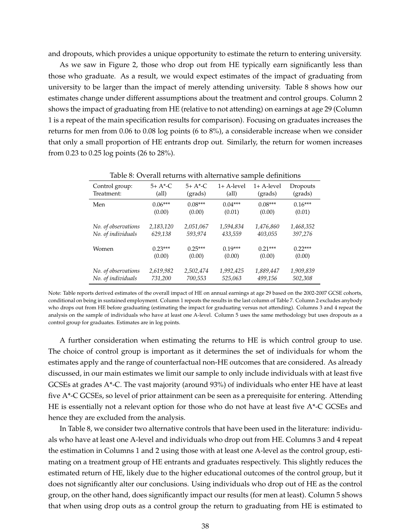and dropouts, which provides a unique opportunity to estimate the return to entering university.

As we saw in Figure 2, those who drop out from HE typically earn significantly less than those who graduate. As a result, we would expect estimates of the impact of graduating from university to be larger than the impact of merely attending university. Table 8 shows how our estimates change under different assumptions about the treatment and control groups. Column 2 shows the impact of graduating from HE (relative to not attending) on earnings at age 29 (Column 1 is a repeat of the main specification results for comparison). Focusing on graduates increases the returns for men from 0.06 to 0.08 log points (6 to 8%), a considerable increase when we consider that only a small proportion of HE entrants drop out. Similarly, the return for women increases from 0.23 to 0.25 log points (26 to 28%).

|                     | Table 6. Overall returns with alternative sample demittions |           |              |              |           |  |  |  |
|---------------------|-------------------------------------------------------------|-----------|--------------|--------------|-----------|--|--|--|
| Control group:      | $5+ A*-C$                                                   | $5+ A*-C$ | $1+$ A-level | $1+$ A-level | Dropouts  |  |  |  |
| Treatment:          | (all)                                                       | (grads)   | (all)        | (grads)      | (grads)   |  |  |  |
| Men                 | $0.06***$                                                   | $0.08***$ | $0.04***$    | $0.08***$    | $0.16***$ |  |  |  |
|                     | (0.00)                                                      | (0.00)    | (0.01)       | (0.00)       | (0.01)    |  |  |  |
| No. of observations | 2,183,120                                                   | 2,051,067 | 1,594,834    | 1,476,860    | 1,468,352 |  |  |  |
| No. of individuals  | 629,138                                                     | 593,974   | 433,559      | 403,055      | 397,276   |  |  |  |
| Women               | $0.23***$                                                   | $0.25***$ | $0.19***$    | $0.21***$    | $0.22***$ |  |  |  |
|                     | (0.00)                                                      | (0.00)    | (0.00)       | (0.00)       | (0.00)    |  |  |  |
| No. of observations | 2,619,982                                                   | 2,502,474 | 1,992,425    | 1,889,447    | 1,909,839 |  |  |  |
| No. of individuals  | 731,200                                                     | 700,553   | 525,063      | 499,156      | 502,308   |  |  |  |

Table 8: Overall returns with alternative sample definitions

Note: Table reports derived estimates of the overall impact of HE on annual earnings at age 29 based on the 2002-2007 GCSE cohorts, conditional on being in sustained employment. Column 1 repeats the results in the last column of Table 7. Column 2 excludes anybody who drops out from HE before graduating (estimating the impact for graduating versus not attending). Columns 3 and 4 repeat the analysis on the sample of individuals who have at least one A-level. Column 5 uses the same methodology but uses dropouts as a control group for graduates. Estimates are in log points.

A further consideration when estimating the returns to HE is which control group to use. The choice of control group is important as it determines the set of individuals for whom the estimates apply and the range of counterfactual non-HE outcomes that are considered. As already discussed, in our main estimates we limit our sample to only include individuals with at least five GCSEs at grades A\*-C. The vast majority (around 93%) of individuals who enter HE have at least five A\*-C GCSEs, so level of prior attainment can be seen as a prerequisite for entering. Attending HE is essentially not a relevant option for those who do not have at least five  $A^*$ -C GCSEs and hence they are excluded from the analysis.

In Table 8, we consider two alternative controls that have been used in the literature: individuals who have at least one A-level and individuals who drop out from HE. Columns 3 and 4 repeat the estimation in Columns 1 and 2 using those with at least one A-level as the control group, estimating on a treatment group of HE entrants and graduates respectively. This slightly reduces the estimated return of HE, likely due to the higher educational outcomes of the control group, but it does not significantly alter our conclusions. Using individuals who drop out of HE as the control group, on the other hand, does significantly impact our results (for men at least). Column 5 shows that when using drop outs as a control group the return to graduating from HE is estimated to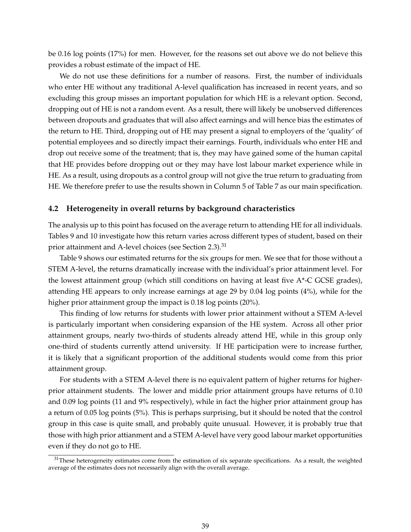be 0.16 log points (17%) for men. However, for the reasons set out above we do not believe this provides a robust estimate of the impact of HE.

We do not use these definitions for a number of reasons. First, the number of individuals who enter HE without any traditional A-level qualification has increased in recent years, and so excluding this group misses an important population for which HE is a relevant option. Second, dropping out of HE is not a random event. As a result, there will likely be unobserved differences between dropouts and graduates that will also affect earnings and will hence bias the estimates of the return to HE. Third, dropping out of HE may present a signal to employers of the 'quality' of potential employees and so directly impact their earnings. Fourth, individuals who enter HE and drop out receive some of the treatment; that is, they may have gained some of the human capital that HE provides before dropping out or they may have lost labour market experience while in HE. As a result, using dropouts as a control group will not give the true return to graduating from HE. We therefore prefer to use the results shown in Column 5 of Table 7 as our main specification.

#### **4.2 Heterogeneity in overall returns by background characteristics**

The analysis up to this point has focused on the average return to attending HE for all individuals. Tables 9 and 10 investigate how this return varies across different types of student, based on their prior attainment and A-level choices (see Section 2.3).<sup>31</sup>

Table 9 shows our estimated returns for the six groups for men. We see that for those without a STEM A-level, the returns dramatically increase with the individual's prior attainment level. For the lowest attainment group (which still conditions on having at least five A\*-C GCSE grades), attending HE appears to only increase earnings at age 29 by 0.04 log points (4%), while for the higher prior attainment group the impact is 0.18 log points (20%).

This finding of low returns for students with lower prior attainment without a STEM A-level is particularly important when considering expansion of the HE system. Across all other prior attainment groups, nearly two-thirds of students already attend HE, while in this group only one-third of students currently attend university. If HE participation were to increase further, it is likely that a significant proportion of the additional students would come from this prior attainment group.

For students with a STEM A-level there is no equivalent pattern of higher returns for higherprior attainment students. The lower and middle prior attainment groups have returns of 0.10 and 0.09 log points (11 and 9% respectively), while in fact the higher prior attainment group has a return of 0.05 log points (5%). This is perhaps surprising, but it should be noted that the control group in this case is quite small, and probably quite unusual. However, it is probably true that those with high prior attianment and a STEM A-level have very good labour market opportunities even if they do not go to HE.

 $31$ These heterogeneity estimates come from the estimation of six separate specifications. As a result, the weighted average of the estimates does not necessarily align with the overall average.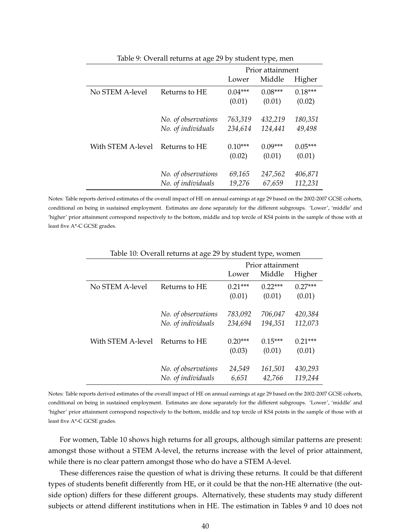| 1000              |                     |                  |           |           |  |  |
|-------------------|---------------------|------------------|-----------|-----------|--|--|
|                   |                     | Prior attainment |           |           |  |  |
|                   |                     | Lower            | Middle    | Higher    |  |  |
| No STEM A-level   | Returns to HE       | $0.04***$        | $0.08***$ | $0.18***$ |  |  |
|                   |                     | (0.01)           | (0.01)    | (0.02)    |  |  |
|                   | No. of observations | 763,319          | 432,219   | 180,351   |  |  |
|                   | No. of individuals  | 234,614          | 124,441   | 49,498    |  |  |
| With STEM A-level | Returns to HE       | $0.10***$        | $0.09***$ | $0.05***$ |  |  |
|                   |                     | (0.02)           | (0.01)    | (0.01)    |  |  |
|                   | No. of observations | 69,165           | 247,562   | 406,871   |  |  |
|                   | No. of individuals  | 19,276           | 67,659    | 112,231   |  |  |

Table 9: Overall returns at age 29 by student type, men

Notes: Table reports derived estimates of the overall impact of HE on annual earnings at age 29 based on the 2002-2007 GCSE cohorts, conditional on being in sustained employment. Estimates are done separately for the different subgroups. 'Lower', 'middle' and 'higher' prior attainment correspond respectively to the bottom, middle and top tercile of KS4 points in the sample of those with at least five A\*-C GCSE grades.

|                   |                                           | Prior attainment    |                     |                     |  |
|-------------------|-------------------------------------------|---------------------|---------------------|---------------------|--|
|                   |                                           | Lower               | Middle              | Higher              |  |
| No STEM A-level   | Returns to HE                             | $0.21***$<br>(0.01) | $0.22***$<br>(0.01) | $0.27***$<br>(0.01) |  |
|                   | No. of observations<br>No. of individuals | 783,092<br>234,694  | 706,047<br>194,351  | 420,384<br>112,073  |  |
| With STEM A-level | Returns to HE                             | $0.20***$<br>(0.03) | $0.15***$<br>(0.01) | $0.21***$<br>(0.01) |  |
|                   | No. of observations<br>No. of individuals | 24,549<br>6,651     | 161,501<br>42,766   | 430,293<br>119,244  |  |

Table 10: Overall returns at age 29 by student type, women

Notes: Table reports derived estimates of the overall impact of HE on annual earnings at age 29 based on the 2002-2007 GCSE cohorts, conditional on being in sustained employment. Estimates are done separately for the different subgroups. 'Lower', 'middle' and 'higher' prior attainment correspond respectively to the bottom, middle and top tercile of KS4 points in the sample of those with at least five A\*-C GCSE grades.

For women, Table 10 shows high returns for all groups, although similar patterns are present: amongst those without a STEM A-level, the returns increase with the level of prior attainment, while there is no clear pattern amongst those who do have a STEM A-level.

These differences raise the question of what is driving these returns. It could be that different types of students benefit differently from HE, or it could be that the non-HE alternative (the outside option) differs for these different groups. Alternatively, these students may study different subjects or attend different institutions when in HE. The estimation in Tables 9 and 10 does not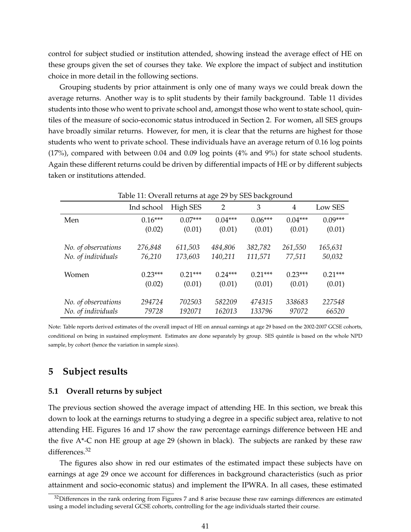control for subject studied or institution attended, showing instead the average effect of HE on these groups given the set of courses they take. We explore the impact of subject and institution choice in more detail in the following sections.

Grouping students by prior attainment is only one of many ways we could break down the average returns. Another way is to split students by their family background. Table 11 divides students into those who went to private school and, amongst those who went to state school, quintiles of the measure of socio-economic status introduced in Section 2. For women, all SES groups have broadly similar returns. However, for men, it is clear that the returns are highest for those students who went to private school. These individuals have an average return of 0.16 log points (17%), compared with between 0.04 and 0.09 log points (4% and 9%) for state school students. Again these different returns could be driven by differential impacts of HE or by different subjects taken or institutions attended.

|                     | Table 11: Overall returns at age 29 by SES background |           |           |           |           |           |  |  |
|---------------------|-------------------------------------------------------|-----------|-----------|-----------|-----------|-----------|--|--|
|                     | Ind school                                            | High SES  | 2         | 3         | 4         | Low SES   |  |  |
| Men                 | $0.16***$                                             | $0.07***$ | $0.04***$ | $0.06***$ | $0.04***$ | $0.09***$ |  |  |
|                     | (0.02)                                                | (0.01)    | (0.01)    | (0.01)    | (0.01)    | (0.01)    |  |  |
|                     |                                                       |           |           |           |           |           |  |  |
| No. of observations | 276,848                                               | 611,503   | 484,806   | 382,782   | 261,550   | 165,631   |  |  |
| No. of individuals  | 76,210                                                | 173,603   | 140,211   | 111,571   | 77,511    | 50,032    |  |  |
|                     |                                                       |           |           |           |           |           |  |  |
| Women               | $0.23***$                                             | $0.21***$ | $0.24***$ | $0.21***$ | $0.23***$ | $0.21***$ |  |  |
|                     | (0.02)                                                | (0.01)    | (0.01)    | (0.01)    | (0.01)    | (0.01)    |  |  |
|                     |                                                       |           |           |           |           |           |  |  |
| No. of observations | 294724                                                | 702503    | 582209    | 474315    | 338683    | 227548    |  |  |
| No. of individuals  | 79728                                                 | 192071    | 162013    | 133796    | 97072     | 66520     |  |  |

Note: Table reports derived estimates of the overall impact of HE on annual earnings at age 29 based on the 2002-2007 GCSE cohorts, conditional on being in sustained employment. Estimates are done separately by group. SES quintile is based on the whole NPD sample, by cohort (hence the variation in sample sizes).

## **5 Subject results**

### **5.1 Overall returns by subject**

The previous section showed the average impact of attending HE. In this section, we break this down to look at the earnings returns to studying a degree in a specific subject area, relative to not attending HE. Figures 16 and 17 show the raw percentage earnings difference between HE and the five  $A^*$ -C non HE group at age 29 (shown in black). The subjects are ranked by these raw differences.<sup>32</sup>

The figures also show in red our estimates of the estimated impact these subjects have on earnings at age 29 once we account for differences in background characteristics (such as prior attainment and socio-economic status) and implement the IPWRA. In all cases, these estimated

 $32$ Differences in the rank ordering from Figures 7 and 8 arise because these raw earnings differences are estimated using a model including several GCSE cohorts, controlling for the age individuals started their course.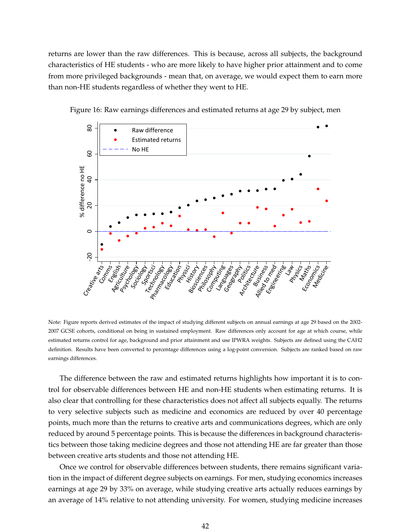returns are lower than the raw differences. This is because, across all subjects, the background characteristics of HE students - who are more likely to have higher prior attainment and to come from more privileged backgrounds - mean that, on average, we would expect them to earn more than non-HE students regardless of whether they went to HE.



Figure 16: Raw earnings differences and estimated returns at age 29 by subject, men

Note: Figure reports derived estimates of the impact of studying different subjects on annual earnings at age 29 based on the 2002- 2007 GCSE cohorts, conditional on being in sustained employment. Raw differences only account for age at which course, while estimated returns control for age, background and prior attainment and use IPWRA weights. Subjects are defined using the CAH2 definition. Results have been converted to percentage differences using a log-point conversion. Subjects are ranked based on raw earnings differences.

The difference between the raw and estimated returns highlights how important it is to control for observable differences between HE and non-HE students when estimating returns. It is also clear that controlling for these characteristics does not affect all subjects equally. The returns to very selective subjects such as medicine and economics are reduced by over 40 percentage points, much more than the returns to creative arts and communications degrees, which are only reduced by around 5 percentage points. This is because the differences in background characteristics between those taking medicine degrees and those not attending HE are far greater than those between creative arts students and those not attending HE.

Once we control for observable differences between students, there remains significant variation in the impact of different degree subjects on earnings. For men, studying economics increases earnings at age 29 by 33% on average, while studying creative arts actually reduces earnings by an average of 14% relative to not attending university. For women, studying medicine increases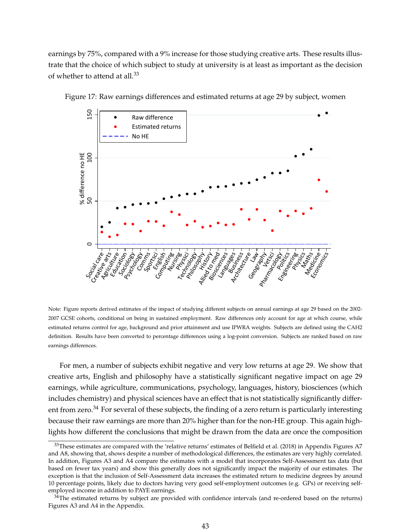earnings by 75%, compared with a 9% increase for those studying creative arts. These results illustrate that the choice of which subject to study at university is at least as important as the decision of whether to attend at all.<sup>33</sup>



Figure 17: Raw earnings differences and estimated returns at age 29 by subject, women

Note: Figure reports derived estimates of the impact of studying different subjects on annual earnings at age 29 based on the 2002- 2007 GCSE cohorts, conditional on being in sustained employment. Raw differences only account for age at which course, while estimated returns control for age, background and prior attainment and use IPWRA weights. Subjects are defined using the CAH2 definition. Results have been converted to percentage differences using a log-point conversion. Subjects are ranked based on raw earnings differences.

For men, a number of subjects exhibit negative and very low returns at age 29. We show that creative arts, English and philosophy have a statistically significant negative impact on age 29 earnings, while agriculture, communications, psychology, languages, history, biosciences (which includes chemistry) and physical sciences have an effect that is not statistically significantly different from zero.<sup>34</sup> For several of these subjects, the finding of a zero return is particularly interesting because their raw earnings are more than 20% higher than for the non-HE group. This again highlights how different the conclusions that might be drawn from the data are once the composition

 $33$ These estimates are compared with the 'relative returns' estimates of Belfield et al. (2018) in Appendix Figures A7 and A8, showing that, shows despite a number of methodological differences, the estimates are very highly correlated. In addition, Figures A3 and A4 compare the estimates with a model that incorporates Self-Assessment tax data (but based on fewer tax years) and show this generally does not significantly impact the majority of our estimates. The exception is that the inclusion of Self-Assessment data increases the estimated return to medicine degrees by around 10 percentage points, likely due to doctors having very good self-employment outcomes (e.g. GPs) or receiving selfemployed income in addition to PAYE earnings.

 $34$ The estimated returns by subject are provided with confidence intervals (and re-ordered based on the returns) Figures A3 and A4 in the Appendix.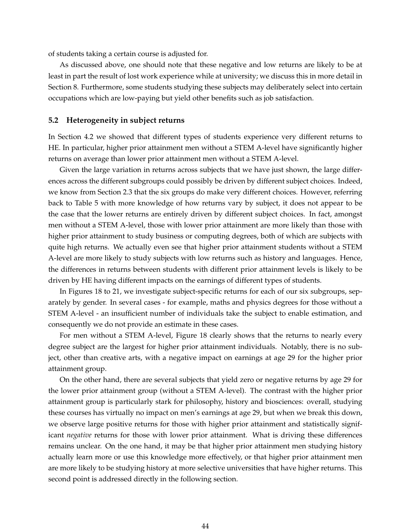of students taking a certain course is adjusted for.

As discussed above, one should note that these negative and low returns are likely to be at least in part the result of lost work experience while at university; we discuss this in more detail in Section 8. Furthermore, some students studying these subjects may deliberately select into certain occupations which are low-paying but yield other benefits such as job satisfaction.

#### **5.2 Heterogeneity in subject returns**

In Section 4.2 we showed that different types of students experience very different returns to HE. In particular, higher prior attainment men without a STEM A-level have significantly higher returns on average than lower prior attainment men without a STEM A-level.

Given the large variation in returns across subjects that we have just shown, the large differences across the different subgroups could possibly be driven by different subject choices. Indeed, we know from Section 2.3 that the six groups do make very different choices. However, referring back to Table 5 with more knowledge of how returns vary by subject, it does not appear to be the case that the lower returns are entirely driven by different subject choices. In fact, amongst men without a STEM A-level, those with lower prior attainment are more likely than those with higher prior attainment to study business or computing degrees, both of which are subjects with quite high returns. We actually even see that higher prior attainment students without a STEM A-level are more likely to study subjects with low returns such as history and languages. Hence, the differences in returns between students with different prior attainment levels is likely to be driven by HE having different impacts on the earnings of different types of students.

In Figures 18 to 21, we investigate subject-specific returns for each of our six subgroups, separately by gender. In several cases - for example, maths and physics degrees for those without a STEM A-level - an insufficient number of individuals take the subject to enable estimation, and consequently we do not provide an estimate in these cases.

For men without a STEM A-level, Figure 18 clearly shows that the returns to nearly every degree subject are the largest for higher prior attainment individuals. Notably, there is no subject, other than creative arts, with a negative impact on earnings at age 29 for the higher prior attainment group.

On the other hand, there are several subjects that yield zero or negative returns by age 29 for the lower prior attainment group (without a STEM A-level). The contrast with the higher prior attainment group is particularly stark for philosophy, history and biosciences: overall, studying these courses has virtually no impact on men's earnings at age 29, but when we break this down, we observe large positive returns for those with higher prior attainment and statistically significant *negative* returns for those with lower prior attainment. What is driving these differences remains unclear. On the one hand, it may be that higher prior attainment men studying history actually learn more or use this knowledge more effectively, or that higher prior attainment men are more likely to be studying history at more selective universities that have higher returns. This second point is addressed directly in the following section.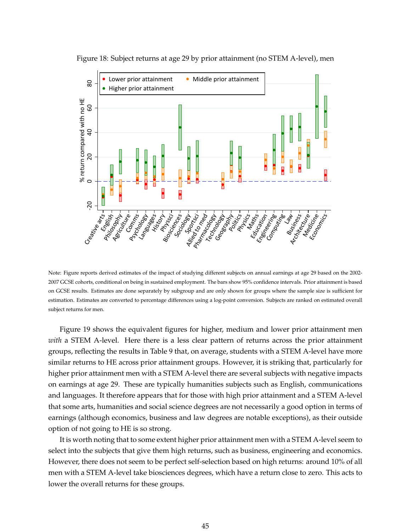

Figure 18: Subject returns at age 29 by prior attainment (no STEM A-level), men

Note: Figure reports derived estimates of the impact of studying different subjects on annual earnings at age 29 based on the 2002- 2007 GCSE cohorts, conditional on being in sustained employment. The bars show 95% confidence intervals. Prior attainment is based on GCSE results. Estimates are done separately by subgroup and are only shown for groups where the sample size is sufficient for estimation. Estimates are converted to percentage differences using a log-point conversion. Subjects are ranked on estimated overall subject returns for men.

Figure 19 shows the equivalent figures for higher, medium and lower prior attainment men *with* a STEM A-level. Here there is a less clear pattern of returns across the prior attainment groups, reflecting the results in Table 9 that, on average, students with a STEM A-level have more similar returns to HE across prior attainment groups. However, it is striking that, particularly for higher prior attainment men with a STEM A-level there are several subjects with negative impacts on earnings at age 29. These are typically humanities subjects such as English, communications and languages. It therefore appears that for those with high prior attainment and a STEM A-level that some arts, humanities and social science degrees are not necessarily a good option in terms of earnings (although economics, business and law degrees are notable exceptions), as their outside option of not going to HE is so strong.

It is worth noting that to some extent higher prior attainment men with a STEM A-level seem to select into the subjects that give them high returns, such as business, engineering and economics. However, there does not seem to be perfect self-selection based on high returns: around 10% of all men with a STEM A-level take biosciences degrees, which have a return close to zero. This acts to lower the overall returns for these groups.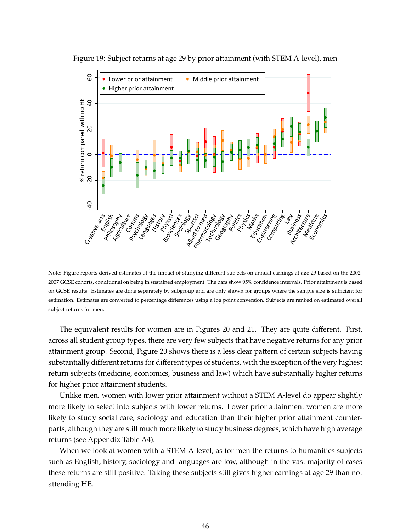

Figure 19: Subject returns at age 29 by prior attainment (with STEM A-level), men

Note: Figure reports derived estimates of the impact of studying different subjects on annual earnings at age 29 based on the 2002- 2007 GCSE cohorts, conditional on being in sustained employment. The bars show 95% confidence intervals. Prior attainment is based on GCSE results. Estimates are done separately by subgroup and are only shown for groups where the sample size is sufficient for estimation. Estimates are converted to percentage differences using a log point conversion. Subjects are ranked on estimated overall subject returns for men.

The equivalent results for women are in Figures 20 and 21. They are quite different. First, across all student group types, there are very few subjects that have negative returns for any prior attainment group. Second, Figure 20 shows there is a less clear pattern of certain subjects having substantially different returns for different types of students, with the exception of the very highest return subjects (medicine, economics, business and law) which have substantially higher returns for higher prior attainment students.

Unlike men, women with lower prior attainment without a STEM A-level do appear slightly more likely to select into subjects with lower returns. Lower prior attainment women are more likely to study social care, sociology and education than their higher prior attainment counterparts, although they are still much more likely to study business degrees, which have high average returns (see Appendix Table A4).

When we look at women with a STEM A-level, as for men the returns to humanities subjects such as English, history, sociology and languages are low, although in the vast majority of cases these returns are still positive. Taking these subjects still gives higher earnings at age 29 than not attending HE.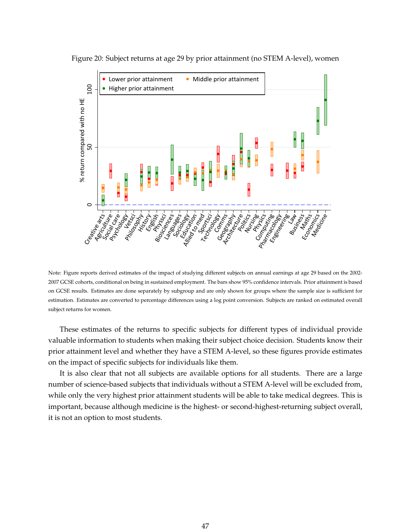

Figure 20: Subject returns at age 29 by prior attainment (no STEM A-level), women

Note: Figure reports derived estimates of the impact of studying different subjects on annual earnings at age 29 based on the 2002- 2007 GCSE cohorts, conditional on being in sustained employment. The bars show 95% confidence intervals. Prior attainment is based on GCSE results. Estimates are done separately by subgroup and are only shown for groups where the sample size is sufficient for estimation. Estimates are converted to percentage differences using a log point conversion. Subjects are ranked on estimated overall subject returns for women.

These estimates of the returns to specific subjects for different types of individual provide valuable information to students when making their subject choice decision. Students know their prior attainment level and whether they have a STEM A-level, so these figures provide estimates on the impact of specific subjects for individuals like them.

It is also clear that not all subjects are available options for all students. There are a large number of science-based subjects that individuals without a STEM A-level will be excluded from, while only the very highest prior attainment students will be able to take medical degrees. This is important, because although medicine is the highest- or second-highest-returning subject overall, it is not an option to most students.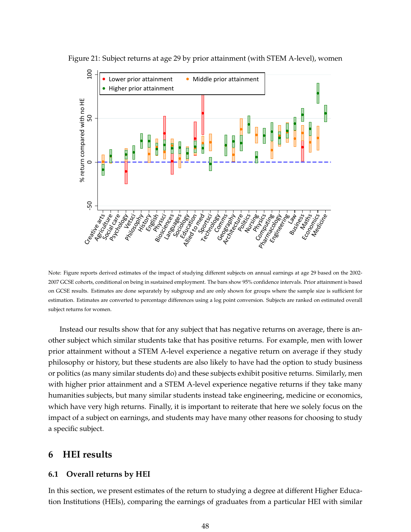

Figure 21: Subject returns at age 29 by prior attainment (with STEM A-level), women

Note: Figure reports derived estimates of the impact of studying different subjects on annual earnings at age 29 based on the 2002- 2007 GCSE cohorts, conditional on being in sustained employment. The bars show 95% confidence intervals. Prior attainment is based on GCSE results. Estimates are done separately by subgroup and are only shown for groups where the sample size is sufficient for estimation. Estimates are converted to percentage differences using a log point conversion. Subjects are ranked on estimated overall subject returns for women.

Instead our results show that for any subject that has negative returns on average, there is another subject which similar students take that has positive returns. For example, men with lower prior attainment without a STEM A-level experience a negative return on average if they study philosophy or history, but these students are also likely to have had the option to study business or politics (as many similar students do) and these subjects exhibit positive returns. Similarly, men with higher prior attainment and a STEM A-level experience negative returns if they take many humanities subjects, but many similar students instead take engineering, medicine or economics, which have very high returns. Finally, it is important to reiterate that here we solely focus on the impact of a subject on earnings, and students may have many other reasons for choosing to study a specific subject.

### **6 HEI results**

### **6.1 Overall returns by HEI**

In this section, we present estimates of the return to studying a degree at different Higher Education Institutions (HEIs), comparing the earnings of graduates from a particular HEI with similar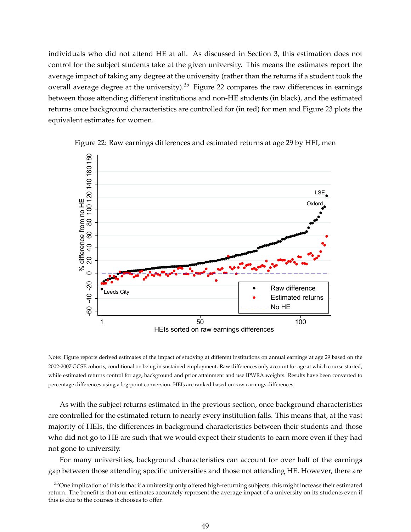individuals who did not attend HE at all. As discussed in Section 3, this estimation does not control for the subject students take at the given university. This means the estimates report the average impact of taking any degree at the university (rather than the returns if a student took the overall average degree at the university).<sup>35</sup> Figure 22 compares the raw differences in earnings between those attending different institutions and non-HE students (in black), and the estimated returns once background characteristics are controlled for (in red) for men and Figure 23 plots the equivalent estimates for women.



Figure 22: Raw earnings differences and estimated returns at age 29 by HEI, men

Note: Figure reports derived estimates of the impact of studying at different institutions on annual earnings at age 29 based on the 2002-2007 GCSE cohorts, conditional on being in sustained employment. Raw differences only account for age at which course started, while estimated returns control for age, background and prior attainment and use IPWRA weights. Results have been converted to percentage differences using a log-point conversion. HEIs are ranked based on raw earnings differences.

As with the subject returns estimated in the previous section, once background characteristics are controlled for the estimated return to nearly every institution falls. This means that, at the vast majority of HEIs, the differences in background characteristics between their students and those who did not go to HE are such that we would expect their students to earn more even if they had not gone to university.

For many universities, background characteristics can account for over half of the earnings gap between those attending specific universities and those not attending HE. However, there are

 $35$ One implication of this is that if a university only offered high-returning subjects, this might increase their estimated return. The benefit is that our estimates accurately represent the average impact of a university on its students even if this is due to the courses it chooses to offer.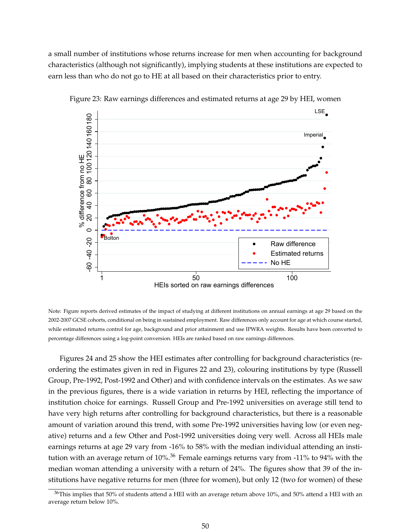a small number of institutions whose returns increase for men when accounting for background characteristics (although not significantly), implying students at these institutions are expected to earn less than who do not go to HE at all based on their characteristics prior to entry.



Figure 23: Raw earnings differences and estimated returns at age 29 by HEI, women

Note: Figure reports derived estimates of the impact of studying at different institutions on annual earnings at age 29 based on the 2002-2007 GCSE cohorts, conditional on being in sustained employment. Raw differences only account for age at which course started, while estimated returns control for age, background and prior attainment and use IPWRA weights. Results have been converted to percentage differences using a log-point conversion. HEIs are ranked based on raw earnings differences.

Figures 24 and 25 show the HEI estimates after controlling for background characteristics (reordering the estimates given in red in Figures 22 and 23), colouring institutions by type (Russell Group, Pre-1992, Post-1992 and Other) and with confidence intervals on the estimates. As we saw in the previous figures, there is a wide variation in returns by HEI, reflecting the importance of institution choice for earnings. Russell Group and Pre-1992 universities on average still tend to have very high returns after controlling for background characteristics, but there is a reasonable amount of variation around this trend, with some Pre-1992 universities having low (or even negative) returns and a few Other and Post-1992 universities doing very well. Across all HEIs male earnings returns at age 29 vary from -16% to 58% with the median individual attending an institution with an average return of 10%.<sup>36</sup> Female earnings returns vary from -11% to 94% with the median woman attending a university with a return of 24%. The figures show that 39 of the institutions have negative returns for men (three for women), but only 12 (two for women) of these

 $36$ This implies that 50% of students attend a HEI with an average return above 10%, and 50% attend a HEI with an average return below 10%.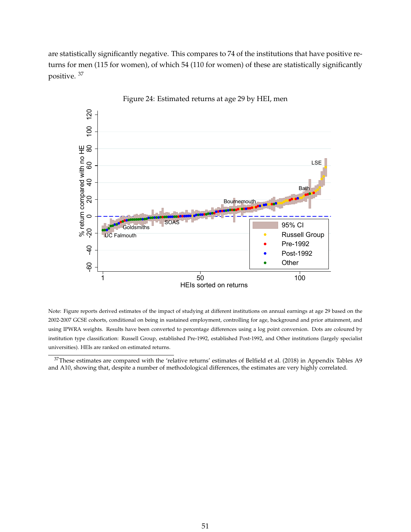are statistically significantly negative. This compares to 74 of the institutions that have positive returns for men (115 for women), of which 54 (110 for women) of these are statistically significantly positive. <sup>37</sup>



Figure 24: Estimated returns at age 29 by HEI, men

Note: Figure reports derived estimates of the impact of studying at different institutions on annual earnings at age 29 based on the 2002-2007 GCSE cohorts, conditional on being in sustained employment, controlling for age, background and prior attainment, and using IPWRA weights. Results have been converted to percentage differences using a log point conversion. Dots are coloured by institution type classification: Russell Group, established Pre-1992, established Post-1992, and Other institutions (largely specialist universities). HEIs are ranked on estimated returns.

<sup>37</sup>These estimates are compared with the 'relative returns' estimates of Belfield et al. (2018) in Appendix Tables A9 and A10, showing that, despite a number of methodological differences, the estimates are very highly correlated.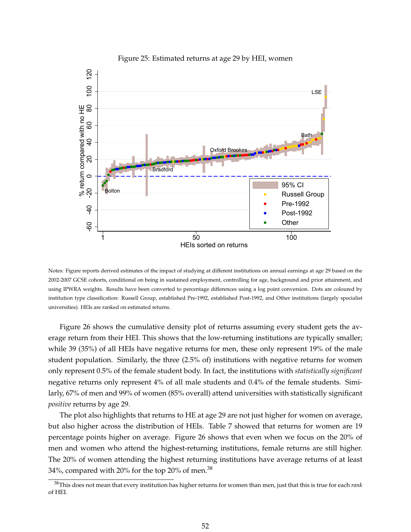

### Figure 25: Estimated returns at age 29 by HEI, women

Notes: Figure reports derived estimates of the impact of studying at different institutions on annual earnings at age 29 based on the 2002-2007 GCSE cohorts, conditional on being in sustained employment, controlling for age, background and prior attainment, and using IPWRA weights. Results have been converted to percentage differences using a log point conversion. Dots are coloured by institution type classification: Russell Group, established Pre-1992, established Post-1992, and Other institutions (largely specialist universities). HEIs are ranked on estimated returns.

Figure 26 shows the cumulative density plot of returns assuming every student gets the average return from their HEI. This shows that the low-returning institutions are typically smaller; while 39 (35%) of all HEIs have negative returns for men, these only represent 19% of the male student population. Similarly, the three (2.5% of) institutions with negative returns for women only represent 0.5% of the female student body. In fact, the institutions with *statistically significant* negative returns only represent 4% of all male students and 0.4% of the female students. Similarly, 67% of men and 99% of women (85% overall) attend universities with statistically significant *positive* returns by age 29.

The plot also highlights that returns to HE at age 29 are not just higher for women on average, but also higher across the distribution of HEIs. Table 7 showed that returns for women are 19 percentage points higher on average. Figure 26 shows that even when we focus on the 20% of men and women who attend the highest-returning institutions, female returns are still higher. The 20% of women attending the highest returning institutions have average returns of at least 34%, compared with 20% for the top 20% of men.<sup>38</sup>

<sup>38</sup>This does not mean that every institution has higher returns for women than men, just that this is true for each *rank* of HEI.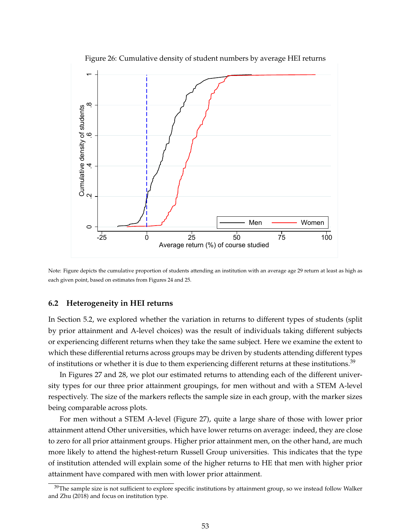

Figure 26: Cumulative density of student numbers by average HEI returns

Note: Figure depicts the cumulative proportion of students attending an institution with an average age 29 return at least as high as each given point, based on estimates from Figures 24 and 25.

### **6.2 Heterogeneity in HEI returns**

In Section 5.2, we explored whether the variation in returns to different types of students (split by prior attainment and A-level choices) was the result of individuals taking different subjects or experiencing different returns when they take the same subject. Here we examine the extent to which these differential returns across groups may be driven by students attending different types of institutions or whether it is due to them experiencing different returns at these [institutions.](https://institutions.39)<sup>39</sup>

In Figures 27 and 28, we plot our estimated returns to attending each of the different university types for our three prior attainment groupings, for men without and with a STEM A-level respectively. The size of the markers reflects the sample size in each group, with the marker sizes being comparable across plots.

For men without a STEM A-level (Figure 27), quite a large share of those with lower prior attainment attend Other universities, which have lower returns on average: indeed, they are close to zero for all prior attainment groups. Higher prior attainment men, on the other hand, are much more likely to attend the highest-return Russell Group universities. This indicates that the type of institution attended will explain some of the higher returns to HE that men with higher prior attainment have compared with men with lower prior attainment.

<sup>&</sup>lt;sup>39</sup>The sample size is not sufficient to explore specific institutions by attainment group, so we instead follow Walker and Zhu (2018) and focus on institution type.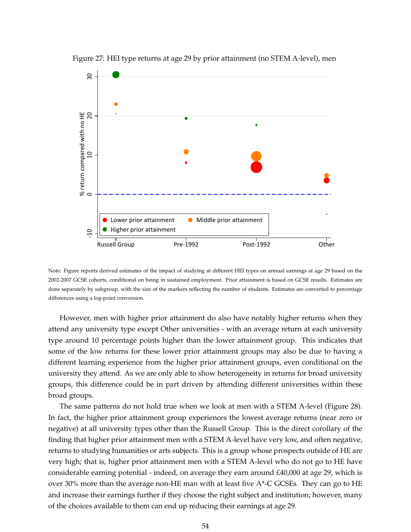

Figure 27: HEI type returns at age 29 by prior attainment (no STEM A-level), men

Note: Figure reports derived estimates of the impact of studying at different HEI types on annual earnings at age 29 based on the 2002-2007 GCSE cohorts, conditional on being in sustained employment. Prior attainment is based on GCSE results. Estimates are done separately by subgroup, with the size of the markers reflecting the number of students. Estimates are converted to percentage differences using a log-point conversion.

However, men with higher prior attainment do also have notably higher returns when they attend any university type except Other universities - with an average return at each university type around 10 percentage points higher than the lower attainment group. This indicates that some of the low returns for these lower prior attainment groups may also be due to having a different learning experience from the higher prior attainment groups, even conditional on the university they attend. As we are only able to show heterogeneity in returns for broad university groups, this difference could be in part driven by attending different universities within these broad groups.

The same patterns do not hold true when we look at men with a STEM A-level (Figure 28). In fact, the higher prior attainment group experiences the lowest average returns (near zero or negative) at all university types other than the Russell Group. This is the direct corollary of the finding that higher prior attainment men with a STEM A-level have very low, and often negative, returns to studying humanities or arts subjects. This is a group whose prospects outside of HE are very high; that is, higher prior attainment men with a STEM A-level who do not go to HE have considerable earning potential - indeed, on average they earn around £40,000 at age 29, which is over 30% more than the average non-HE man with at least five A\*-C GCSEs. They can go to HE and increase their earnings further if they choose the right subject and institution; however, many of the choices available to them can end up reducing their earnings at age 29.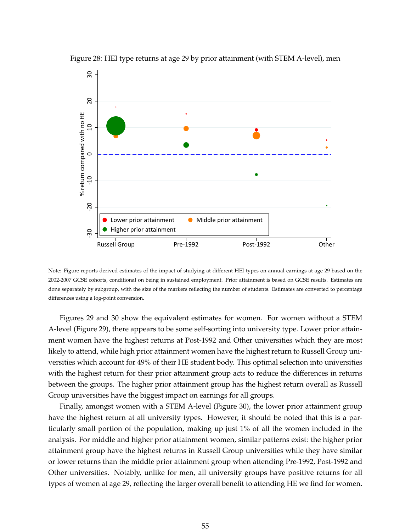

Figure 28: HEI type returns at age 29 by prior attainment (with STEM A-level), men

Note: Figure reports derived estimates of the impact of studying at different HEI types on annual earnings at age 29 based on the 2002-2007 GCSE cohorts, conditional on being in sustained employment. Prior attainment is based on GCSE results. Estimates are done separately by subgroup, with the size of the markers reflecting the number of students. Estimates are converted to percentage differences using a log-point conversion.

Figures 29 and 30 show the equivalent estimates for women. For women without a STEM A-level (Figure 29), there appears to be some self-sorting into university type. Lower prior attainment women have the highest returns at Post-1992 and Other universities which they are most likely to attend, while high prior attainment women have the highest return to Russell Group universities which account for 49% of their HE student body. This optimal selection into universities with the highest return for their prior attainment group acts to reduce the differences in returns between the groups. The higher prior attainment group has the highest return overall as Russell Group universities have the biggest impact on earnings for all groups.

Finally, amongst women with a STEM A-level (Figure 30), the lower prior attainment group have the highest return at all university types. However, it should be noted that this is a particularly small portion of the population, making up just 1% of all the women included in the analysis. For middle and higher prior attainment women, similar patterns exist: the higher prior attainment group have the highest returns in Russell Group universities while they have similar or lower returns than the middle prior attainment group when attending Pre-1992, Post-1992 and Other universities. Notably, unlike for men, all university groups have positive returns for all types of women at age 29, reflecting the larger overall benefit to attending HE we find for women.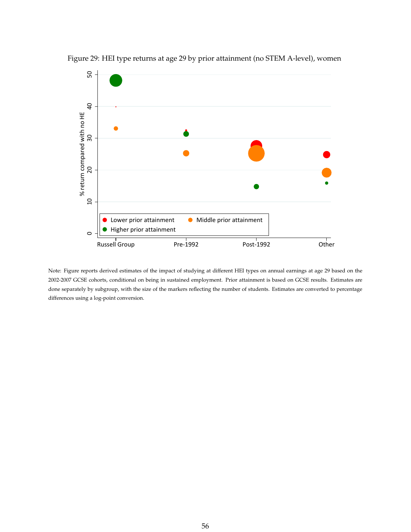

Figure 29: HEI type returns at age 29 by prior attainment (no STEM A-level), women

Note: Figure reports derived estimates of the impact of studying at different HEI types on annual earnings at age 29 based on the 2002-2007 GCSE cohorts, conditional on being in sustained employment. Prior attainment is based on GCSE results. Estimates are done separately by subgroup, with the size of the markers reflecting the number of students. Estimates are converted to percentage differences using a log-point conversion.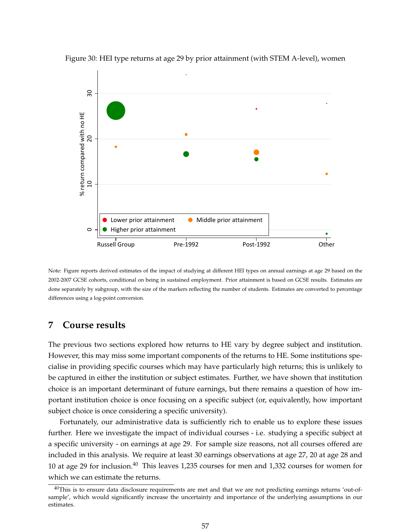

Figure 30: HEI type returns at age 29 by prior attainment (with STEM A-level), women

Note: Figure reports derived estimates of the impact of studying at different HEI types on annual earnings at age 29 based on the 2002-2007 GCSE cohorts, conditional on being in sustained employment. Prior attainment is based on GCSE results. Estimates are done separately by subgroup, with the size of the markers reflecting the number of students. Estimates are converted to percentage differences using a log-point conversion.

### **7 Course results**

The previous two sections explored how returns to HE vary by degree subject and institution. However, this may miss some important components of the returns to HE. Some institutions specialise in providing specific courses which may have particularly high returns; this is unlikely to be captured in either the institution or subject estimates. Further, we have shown that institution choice is an important determinant of future earnings, but there remains a question of how important institution choice is once focusing on a specific subject (or, equivalently, how important subject choice is once considering a specific university).

Fortunately, our administrative data is sufficiently rich to enable us to explore these issues further. Here we investigate the impact of individual courses - i.e. studying a specific subject at a specific university - on earnings at age 29. For sample size reasons, not all courses offered are included in this analysis. We require at least 30 earnings observations at age 27, 20 at age 28 and 10 at age 29 for inclusion.<sup>40</sup> This leaves 1,235 courses for men and 1,332 courses for women for which we can estimate the returns.

 $40$ This is to ensure data disclosure requirements are met and that we are not predicting earnings returns 'out-ofsample', which would significantly increase the uncertainty and importance of the underlying assumptions in our estimates.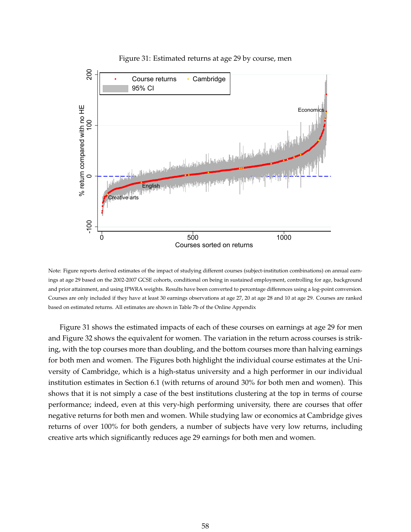

#### Figure 31: Estimated returns at age 29 by course, men

Note: Figure reports derived estimates of the impact of studying different courses (subject-institution combinations) on annual earnings at age 29 based on the 2002-2007 GCSE cohorts, conditional on being in sustained employment, controlling for age, background and prior attainment, and using IPWRA weights. Results have been converted to percentage differences using a log-point conversion. Courses are only included if they have at least 30 earnings observations at age 27, 20 at age 28 and 10 at age 29. Courses are ranked based on estimated returns. All estimates are shown in Table 7b of the Online Appendix

Figure 31 shows the estimated impacts of each of these courses on earnings at age 29 for men and Figure 32 shows the equivalent for women. The variation in the return across courses is striking, with the top courses more than doubling, and the bottom courses more than halving earnings for both men and women. The Figures both highlight the individual course estimates at the University of Cambridge, which is a high-status university and a high performer in our individual institution estimates in Section 6.1 (with returns of around 30% for both men and women). This shows that it is not simply a case of the best institutions clustering at the top in terms of course performance; indeed, even at this very-high performing university, there are courses that offer negative returns for both men and women. While studying law or economics at Cambridge gives returns of over 100% for both genders, a number of subjects have very low returns, including creative arts which significantly reduces age 29 earnings for both men and women.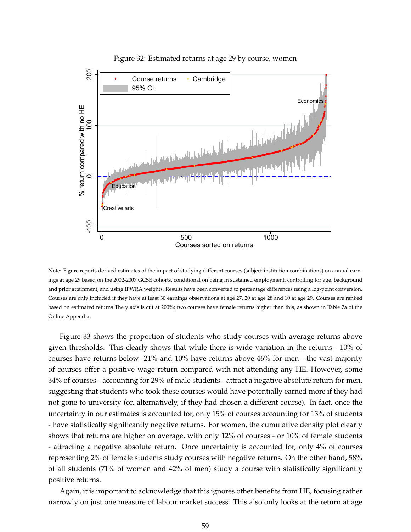

### Figure 32: Estimated returns at age 29 by course, women

Note: Figure reports derived estimates of the impact of studying different courses (subject-institution combinations) on annual earnings at age 29 based on the 2002-2007 GCSE cohorts, conditional on being in sustained employment, controlling for age, background and prior attainment, and using IPWRA weights. Results have been converted to percentage differences using a log-point conversion. Courses are only included if they have at least 30 earnings observations at age 27, 20 at age 28 and 10 at age 29. Courses are ranked based on estimated returns The y axis is cut at 200%; two courses have female returns higher than this, as shown in Table 7a of the Online Appendix.

Figure 33 shows the proportion of students who study courses with average returns above given thresholds. This clearly shows that while there is wide variation in the returns - 10% of courses have returns below -21% and 10% have returns above 46% for men - the vast majority of courses offer a positive wage return compared with not attending any HE. However, some 34% of courses - accounting for 29% of male students - attract a negative absolute return for men, suggesting that students who took these courses would have potentially earned more if they had not gone to university (or, alternatively, if they had chosen a different course). In fact, once the uncertainty in our estimates is accounted for, only 15% of courses accounting for 13% of students - have statistically significantly negative returns. For women, the cumulative density plot clearly shows that returns are higher on average, with only 12% of courses - or 10% of female students - attracting a negative absolute return. Once uncertainty is accounted for, only 4% of courses representing 2% of female students study courses with negative returns. On the other hand, 58% of all students (71% of women and 42% of men) study a course with statistically significantly positive returns.

Again, it is important to acknowledge that this ignores other benefits from HE, focusing rather narrowly on just one measure of labour market success. This also only looks at the return at age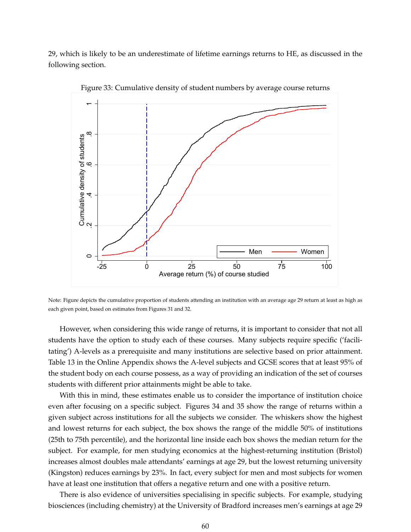29, which is likely to be an underestimate of lifetime earnings returns to HE, as discussed in the following section.



Figure 33: Cumulative density of student numbers by average course returns

Note: Figure depicts the cumulative proportion of students attending an institution with an average age 29 return at least as high as each given point, based on estimates from Figures 31 and 32.

However, when considering this wide range of returns, it is important to consider that not all students have the option to study each of these courses. Many subjects require specific ('facilitating') A-levels as a prerequisite and many institutions are selective based on prior attainment. Table 13 in the Online Appendix shows the A-level subjects and GCSE scores that at least 95% of the student body on each course possess, as a way of providing an indication of the set of courses students with different prior attainments might be able to take.

With this in mind, these estimates enable us to consider the importance of institution choice even after focusing on a specific subject. Figures 34 and 35 show the range of returns within a given subject across institutions for all the subjects we consider. The whiskers show the highest and lowest returns for each subject, the box shows the range of the middle 50% of institutions (25th to 75th percentile), and the horizontal line inside each box shows the median return for the subject. For example, for men studying economics at the highest-returning institution (Bristol) increases almost doubles male attendants' earnings at age 29, but the lowest returning university (Kingston) reduces earnings by 23%. In fact, every subject for men and most subjects for women have at least one institution that offers a negative return and one with a positive return.

There is also evidence of universities specialising in specific subjects. For example, studying biosciences (including chemistry) at the University of Bradford increases men's earnings at age 29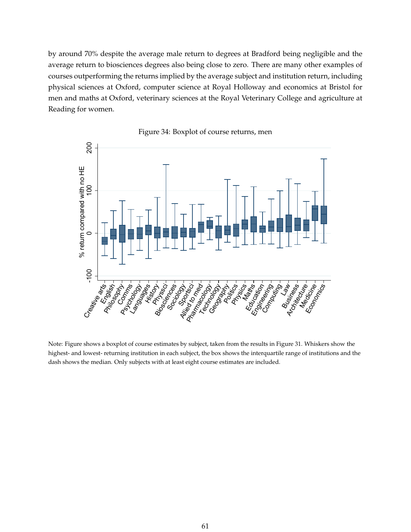by around 70% despite the average male return to degrees at Bradford being negligible and the average return to biosciences degrees also being close to zero. There are many other examples of courses outperforming the returns implied by the average subject and institution return, including physical sciences at Oxford, computer science at Royal Holloway and economics at Bristol for men and maths at Oxford, veterinary sciences at the Royal Veterinary College and agriculture at Reading for women.



Figure 34: Boxplot of course returns, men

Note: Figure shows a boxplot of course estimates by subject, taken from the results in Figure 31. Whiskers show the highest- and lowest- returning institution in each subject, the box shows the interquartile range of institutions and the dash shows the median. Only subjects with at least eight course estimates are included.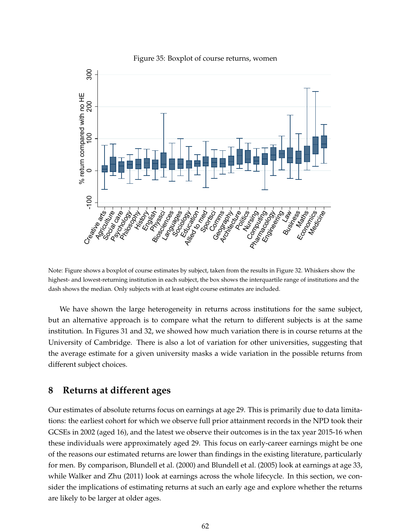

Figure 35: Boxplot of course returns, women

Note: Figure shows a boxplot of course estimates by subject, taken from the results in Figure 32. Whiskers show the highest- and lowest-returning institution in each subject, the box shows the interquartile range of institutions and the dash shows the median. Only subjects with at least eight course estimates are included.

We have shown the large heterogeneity in returns across institutions for the same subject, but an alternative approach is to compare what the return to different subjects is at the same institution. In Figures 31 and 32, we showed how much variation there is in course returns at the University of Cambridge. There is also a lot of variation for other universities, suggesting that the average estimate for a given university masks a wide variation in the possible returns from different subject choices.

### **8 Returns at different ages**

Our estimates of absolute returns focus on earnings at age 29. This is primarily due to data limitations: the earliest cohort for which we observe full prior attainment records in the NPD took their GCSEs in 2002 (aged 16), and the latest we observe their outcomes is in the tax year 2015-16 when these individuals were approximately aged 29. This focus on early-career earnings might be one of the reasons our estimated returns are lower than findings in the existing literature, particularly for men. By comparison, Blundell et al. (2000) and Blundell et al. (2005) look at earnings at age 33, while Walker and Zhu (2011) look at earnings across the whole lifecycle. In this section, we consider the implications of estimating returns at such an early age and explore whether the returns are likely to be larger at older ages.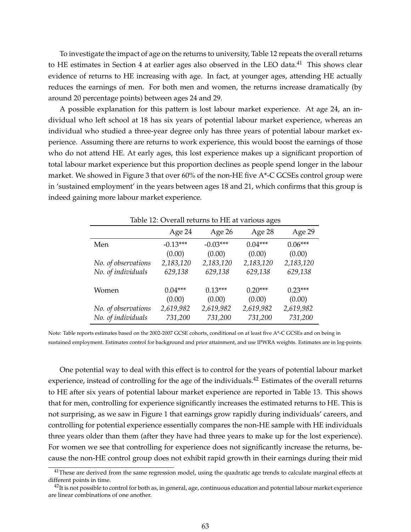To investigate the impact of age on the returns to university, Table 12 repeats the overall returns to HE estimates in Section 4 at earlier ages also observed in the LEO data.<sup>41</sup> This shows clear evidence of returns to HE increasing with age. In fact, at younger ages, attending HE actually reduces the earnings of men. For both men and women, the returns increase dramatically (by around 20 percentage points) between ages 24 and 29.

A possible explanation for this pattern is lost labour market experience. At age 24, an individual who left school at 18 has six years of potential labour market experience, whereas an individual who studied a three-year degree only has three years of potential labour market experience. Assuming there are returns to work experience, this would boost the earnings of those who do not attend HE. At early ages, this lost experience makes up a significant proportion of total labour market experience but this proportion declines as people spend longer in the labour market. We showed in Figure 3 that over 60% of the non-HE five A\*-C GCSEs control group were in 'sustained employment' in the years between ages 18 and 21, which confirms that this group is indeed gaining more labour market experience.

|                                           | Table 12: Overall returns to HE at various ages |                      |                      |                      |  |  |  |
|-------------------------------------------|-------------------------------------------------|----------------------|----------------------|----------------------|--|--|--|
|                                           | Age 24                                          | Age 26               | Age 28               | Age 29               |  |  |  |
| Men                                       | $-0.13***$                                      | $-0.03***$           | $0.04***$            | $0.06***$            |  |  |  |
|                                           | (0.00)                                          | (0.00)               | (0.00)               | (0.00)               |  |  |  |
| No. of observations                       | 2,183,120                                       | 2,183,120            | 2,183,120            | 2,183,120            |  |  |  |
| No. of individuals                        | 629,138                                         | 629,138              | 629,138              | 629,138              |  |  |  |
| Women                                     | $0.04***$<br>(0.00)                             | $0.13***$<br>(0.00)  | $0.20***$<br>(0.00)  | $0.23***$<br>(0.00)  |  |  |  |
| No. of observations<br>No. of individuals | 2,619,982<br>731,200                            | 2,619,982<br>731,200 | 2,619,982<br>731,200 | 2,619,982<br>731,200 |  |  |  |

Table 12: Overall returns to HE at various ages

Note: Table reports estimates based on the 2002-2007 GCSE cohorts, conditional on at least five A\*-C GCSEs and on being in sustained employment. Estimates control for background and prior attainment, and use IPWRA weights. Estimates are in log-points.

One potential way to deal with this effect is to control for the years of potential labour market experience, instead of controlling for the age of the individuals.<sup>42</sup> Estimates of the overall returns to HE after six years of potential labour market experience are reported in Table 13. This shows that for men, controlling for experience significantly increases the estimated returns to HE. This is not surprising, as we saw in Figure 1 that earnings grow rapidly during individuals' careers, and controlling for potential experience essentially compares the non-HE sample with HE individuals three years older than them (after they have had three years to make up for the lost experience). For women we see that controlling for experience does not significantly increase the returns, because the non-HE control group does not exhibit rapid growth in their earnings during their mid

 $41$ These are derived from the same regression model, using the quadratic age trends to calculate marginal effects at different points in time.

 $^{42}$ It is not possible to control for both as, in general, age, continuous education and potential labour market experience are linear combinations of one another.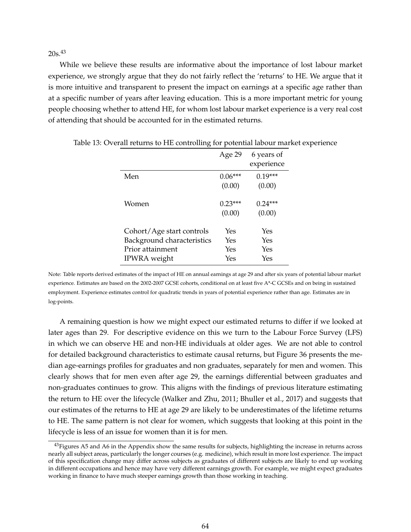$20s.43$ 

While we believe these results are informative about the importance of lost labour market experience, we strongly argue that they do not fairly reflect the 'returns' to HE. We argue that it is more intuitive and transparent to present the impact on earnings at a specific age rather than at a specific number of years after leaving education. This is a more important metric for young people choosing whether to attend HE, for whom lost labour market experience is a very real cost of attending that should be accounted for in the estimated returns.

|                            | Age 29              | 6 years of<br>experience |
|----------------------------|---------------------|--------------------------|
| Men                        | $0.06***$           | $0.19***$                |
|                            | (0.00)              | (0.00)                   |
| Women                      | $0.23***$<br>(0.00) | $0.24***$<br>(0.00)      |
| Cohort/Age start controls  | Yes                 | Yes                      |
| Background characteristics | Yes                 | Yes                      |
| Prior attainment           | Yes                 | Yes                      |
| IPWRA weight               | Yes                 | Yes                      |

Table 13: Overall returns to HE controlling for potential labour market experience

Note: Table reports derived estimates of the impact of HE on annual earnings at age 29 and after six years of potential labour market experience. Estimates are based on the 2002-2007 GCSE cohorts, conditional on at least five A\*-C GCSEs and on being in sustained employment. Experience estimates control for quadratic trends in years of potential experience rather than age. Estimates are in log-points.

A remaining question is how we might expect our estimated returns to differ if we looked at later ages than 29. For descriptive evidence on this we turn to the Labour Force Survey (LFS) in which we can observe HE and non-HE individuals at older ages. We are not able to control for detailed background characteristics to estimate causal returns, but Figure 36 presents the median age-earnings profiles for graduates and non graduates, separately for men and women. This clearly shows that for men even after age 29, the earnings differential between graduates and non-graduates continues to grow. This aligns with the findings of previous literature estimating the return to HE over the lifecycle (Walker and Zhu, 2011; Bhuller et al., 2017) and suggests that our estimates of the returns to HE at age 29 are likely to be underestimates of the lifetime returns to HE. The same pattern is not clear for women, which suggests that looking at this point in the lifecycle is less of an issue for women than it is for men.

<sup>&</sup>lt;sup>43</sup>Figures A5 and A6 in the Appendix show the same results for subjects, highlighting the increase in returns across nearly all subject areas, particularly the longer courses (e.g. medicine), which result in more lost experience. The impact of this specification change may differ across subjects as graduates of different subjects are likely to end up working in different occupations and hence may have very different earnings growth. For example, we might expect graduates working in finance to have much steeper earnings growth than those working in teaching.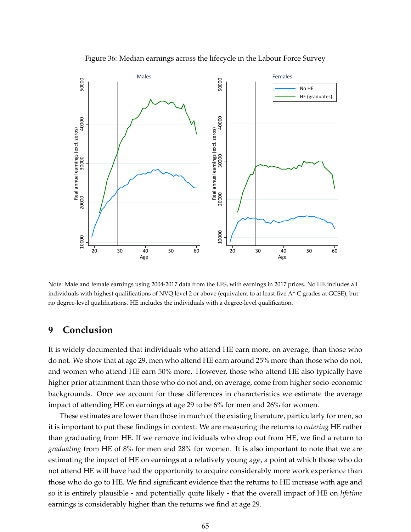

Figure 36: Median earnings across the lifecycle in the Labour Force Survey

Note: Male and female earnings using 2004-2017 data from the LFS, with earnings in 2017 prices. No HE includes all individuals with highest qualifications of NVQ level 2 or above (equivalent to at least five A\*-C grades at GCSE), but no degree-level qualifications. HE includes the individuals with a degree-level qualification.

# **9 Conclusion**

It is widely documented that individuals who attend HE earn more, on average, than those who do not. We show that at age 29, men who attend HE earn around 25% more than those who do not, and women who attend HE earn 50% more. However, those who attend HE also typically have higher prior attainment than those who do not and, on average, come from higher socio-economic backgrounds. Once we account for these differences in characteristics we estimate the average impact of attending HE on earnings at age 29 to be 6% for men and 26% for women.

These estimates are lower than those in much of the existing literature, particularly for men, so it is important to put these findings in context. We are measuring the returns to *entering* HE rather than graduating from HE. If we remove individuals who drop out from HE, we find a return to *graduating* from HE of 8% for men and 28% for women. It is also important to note that we are estimating the impact of HE on earnings at a relatively young age, a point at which those who do not attend HE will have had the opportunity to acquire considerably more work experience than those who do go to HE. We find significant evidence that the returns to HE increase with age and so it is entirely plausible - and potentially quite likely - that the overall impact of HE on *lifetime* earnings is considerably higher than the returns we find at age 29.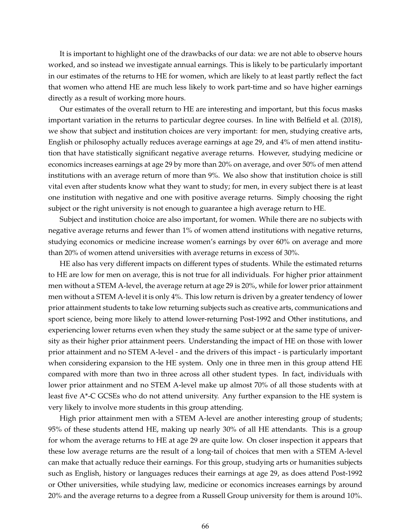It is important to highlight one of the drawbacks of our data: we are not able to observe hours worked, and so instead we investigate annual earnings. This is likely to be particularly important in our estimates of the returns to HE for women, which are likely to at least partly reflect the fact that women who attend HE are much less likely to work part-time and so have higher earnings directly as a result of working more hours.

Our estimates of the overall return to HE are interesting and important, but this focus masks important variation in the returns to particular degree courses. In line with Belfield et al. (2018), we show that subject and institution choices are very important: for men, studying creative arts, English or philosophy actually reduces average earnings at age 29, and 4% of men attend institution that have statistically significant negative average returns. However, studying medicine or economics increases earnings at age 29 by more than 20% on average, and over 50% of men attend institutions with an average return of more than 9%. We also show that institution choice is still vital even after students know what they want to study; for men, in every subject there is at least one institution with negative and one with positive average returns. Simply choosing the right subject or the right university is not enough to guarantee a high average return to HE.

Subject and institution choice are also important, for women. While there are no subjects with negative average returns and fewer than 1% of women attend institutions with negative returns, studying economics or medicine increase women's earnings by over 60% on average and more than 20% of women attend universities with average returns in excess of 30%.

HE also has very different impacts on different types of students. While the estimated returns to HE are low for men on average, this is not true for all individuals. For higher prior attainment men without a STEM A-level, the average return at age 29 is 20%, while for lower prior attainment men without a STEM A-level it is only 4%. This low return is driven by a greater tendency of lower prior attainment students to take low returning subjects such as creative arts, communications and sport science, being more likely to attend lower-returning Post-1992 and Other institutions, and experiencing lower returns even when they study the same subject or at the same type of university as their higher prior attainment peers. Understanding the impact of HE on those with lower prior attainment and no STEM A-level - and the drivers of this impact - is particularly important when considering expansion to the HE system. Only one in three men in this group attend HE compared with more than two in three across all other student types. In fact, individuals with lower prior attainment and no STEM A-level make up almost 70% of all those students with at least five A\*-C GCSEs who do not attend university. Any further expansion to the HE system is very likely to involve more students in this group attending.

High prior attainment men with a STEM A-level are another interesting group of students; 95% of these students attend HE, making up nearly 30% of all HE attendants. This is a group for whom the average returns to HE at age 29 are quite low. On closer inspection it appears that these low average returns are the result of a long-tail of choices that men with a STEM A-level can make that actually reduce their earnings. For this group, studying arts or humanities subjects such as English, history or languages reduces their earnings at age 29, as does attend Post-1992 or Other universities, while studying law, medicine or economics increases earnings by around 20% and the average returns to a degree from a Russell Group university for them is around 10%.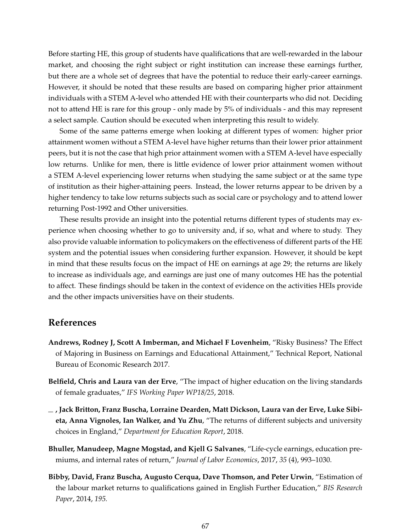Before starting HE, this group of students have qualifications that are well-rewarded in the labour market, and choosing the right subject or right institution can increase these earnings further, but there are a whole set of degrees that have the potential to reduce their early-career earnings. However, it should be noted that these results are based on comparing higher prior attainment individuals with a STEM A-level who attended HE with their counterparts who did not. Deciding not to attend HE is rare for this group - only made by 5% of individuals - and this may represent a select sample. Caution should be executed when interpreting this result to widely.

Some of the same patterns emerge when looking at different types of women: higher prior attainment women without a STEM A-level have higher returns than their lower prior attainment peers, but it is not the case that high prior attainment women with a STEM A-level have especially low returns. Unlike for men, there is little evidence of lower prior attainment women without a STEM A-level experiencing lower returns when studying the same subject or at the same type of institution as their higher-attaining peers. Instead, the lower returns appear to be driven by a higher tendency to take low returns subjects such as social care or psychology and to attend lower returning Post-1992 and Other universities.

These results provide an insight into the potential returns different types of students may experience when choosing whether to go to university and, if so, what and where to study. They also provide valuable information to policymakers on the effectiveness of different parts of the HE system and the potential issues when considering further expansion. However, it should be kept in mind that these results focus on the impact of HE on earnings at age 29; the returns are likely to increase as individuals age, and earnings are just one of many outcomes HE has the potential to affect. These findings should be taken in the context of evidence on the activities HEIs provide and the other impacts universities have on their students.

### **References**

- **Andrews, Rodney J, Scott A Imberman, and Michael F Lovenheim**, "Risky Business? The Effect of Majoring in Business on Earnings and Educational Attainment," Technical Report, National Bureau of Economic Research 2017.
- **Belfield, Chris and Laura van der Erve**, "The impact of higher education on the living standards of female graduates," *IFS Working Paper WP18/25*, 2018.
- **, Jack Britton, Franz Buscha, Lorraine Dearden, Matt Dickson, Laura van der Erve, Luke Sibieta, Anna Vignoles, Ian Walker, and Yu Zhu**, "The returns of different subjects and university choices in England," *Department for Education Report*, 2018.
- **Bhuller, Manudeep, Magne Mogstad, and Kjell G Salvanes**, "Life-cycle earnings, education premiums, and internal rates of return," *Journal of Labor Economics*, 2017, *35* (4), 993–1030.
- **Bibby, David, Franz Buscha, Augusto Cerqua, Dave Thomson, and Peter Urwin**, "Estimation of the labour market returns to qualifications gained in English Further Education," *BIS Research Paper*, 2014, *195.*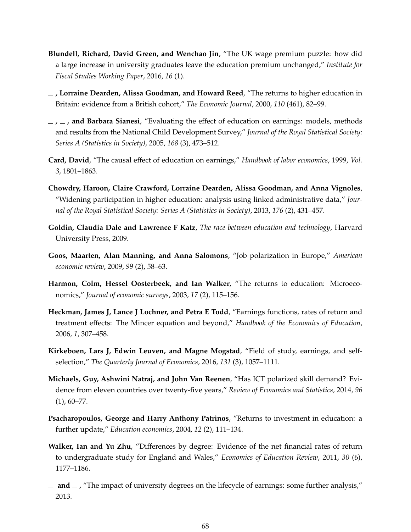- **Blundell, Richard, David Green, and Wenchao Jin**, "The UK wage premium puzzle: how did a large increase in university graduates leave the education premium unchanged," *Institute for Fiscal Studies Working Paper*, 2016, *16* (1).
- **, Lorraine Dearden, Alissa Goodman, and Howard Reed**, "The returns to higher education in Britain: evidence from a British cohort," *The Economic Journal*, 2000, *110* (461), 82–99.
- $\mu$ ,  $\mu$ , and Barbara Sianesi, "Evaluating the effect of education on earnings: models, methods and results from the National Child Development Survey," *Journal of the Royal Statistical Society: Series A (Statistics in Society)*, 2005, *168* (3), 473–512.
- **Card, David**, "The causal effect of education on earnings," *Handbook of labor economics*, 1999, *Vol. 3*, 1801–1863.
- **Chowdry, Haroon, Claire Crawford, Lorraine Dearden, Alissa Goodman, and Anna Vignoles**, "Widening participation in higher education: analysis using linked administrative data," *Journal of the Royal Statistical Society: Series A (Statistics in Society)*, 2013, *176* (2), 431–457.
- **Goldin, Claudia Dale and Lawrence F Katz**, *The race between education and technology*, Harvard University Press, 2009.
- **Goos, Maarten, Alan Manning, and Anna Salomons**, "Job polarization in Europe," *American economic review*, 2009, *99* (2), 58–63.
- **Harmon, Colm, Hessel Oosterbeek, and Ian Walker**, "The returns to education: Microeconomics," *Journal of economic surveys*, 2003, *17* (2), 115–156.
- **Heckman, James J, Lance J Lochner, and Petra E Todd**, "Earnings functions, rates of return and treatment effects: The Mincer equation and beyond," *Handbook of the Economics of Education*, 2006, *1*, 307–458.
- **Kirkeboen, Lars J, Edwin Leuven, and Magne Mogstad**, "Field of study, earnings, and selfselection," *The Quarterly Journal of Economics*, 2016, *131* (3), 1057–1111.
- **Michaels, Guy, Ashwini Natraj, and John Van Reenen**, "Has ICT polarized skill demand? Evidence from eleven countries over twenty-five years," *Review of Economics and Statistics*, 2014, *96* (1), 60–77.
- **Psacharopoulos, George and Harry Anthony Patrinos**, "Returns to investment in education: a further update," *Education economics*, 2004, *12* (2), 111–134.
- **Walker, Ian and Yu Zhu**, "Differences by degree: Evidence of the net financial rates of return to undergraduate study for England and Wales," *Economics of Education Review*, 2011, *30* (6), 1177–1186.
- $\mu$  **and**  $\mu$ , "The impact of university degrees on the lifecycle of earnings: some further analysis," 2013.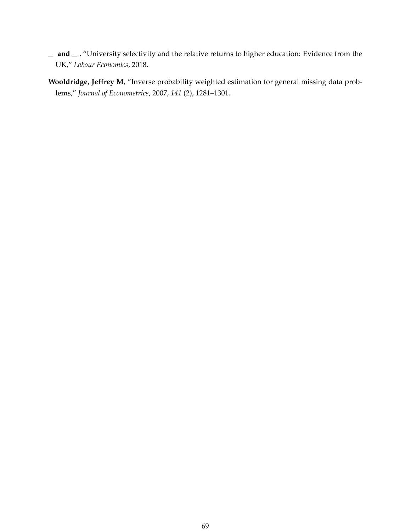- $-$  **and**  $-$  , "University selectivity and the relative returns to higher education: Evidence from the UK," *Labour Economics*, 2018.
- **Wooldridge, Jeffrey M**, "Inverse probability weighted estimation for general missing data problems," *Journal of Econometrics*, 2007, *141* (2), 1281–1301.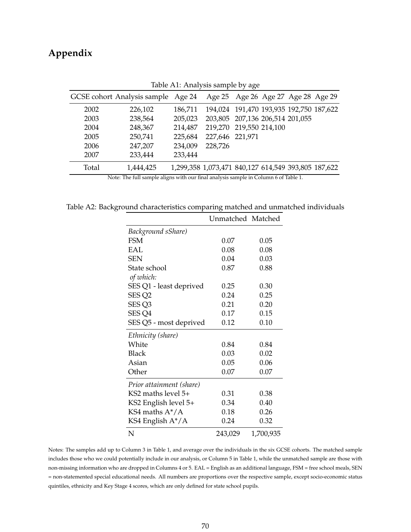# **Appendix**

|                                                                                     | GCSE cohort Analysis sample | Age 24  |                                                     | Age 25 Age 26 Age 27 Age 28 Age 29 |  |  |  |
|-------------------------------------------------------------------------------------|-----------------------------|---------|-----------------------------------------------------|------------------------------------|--|--|--|
| 2002                                                                                | 226,102                     | 186,711 | 194,024 191,470 193,935 192,750 187,622             |                                    |  |  |  |
| 2003                                                                                | 238,564                     | 205,023 | 203,805 207,136 206,514 201,055                     |                                    |  |  |  |
| 2004                                                                                | 248,367                     | 214,487 | 219,270 219,550 214,100                             |                                    |  |  |  |
| 2005                                                                                | 250,741                     | 225,684 | 227,646 221,971                                     |                                    |  |  |  |
| 2006                                                                                | 247,207                     | 234,009 | 228,726                                             |                                    |  |  |  |
| 2007                                                                                | 233,444                     | 233,444 |                                                     |                                    |  |  |  |
| Total                                                                               | 1,444,425                   |         | 1,299,358 1,073,471 840,127 614,549 393,805 187,622 |                                    |  |  |  |
| Note: The full sample aligns with our final analysis sample in Column 6 of Table 1. |                             |         |                                                     |                                    |  |  |  |

Table A1: Analysis sample by age

Table A2: Background characteristics comparing matched and unmatched individuals

|                          | Unmatched Matched |           |
|--------------------------|-------------------|-----------|
| Background sShare)       |                   |           |
| <b>FSM</b>               | 0.07              | 0.05      |
| EAL                      | 0.08              | 0.08      |
| <b>SEN</b>               | 0.04              | 0.03      |
| State school             | 0.87              | 0.88      |
| of which:                |                   |           |
| SES Q1 - least deprived  | 0.25              | 0.30      |
| SES <sub>Q2</sub>        | 0.24              | 0.25      |
| SES <sub>Q3</sub>        | 0.21              | 0.20      |
| SES <sub>Q4</sub>        | 0.17              | 0.15      |
| SES Q5 - most deprived   | 0.12              | $0.10\,$  |
| Ethnicity (share)        |                   |           |
| White                    | 0.84              | 0.84      |
| Black                    | 0.03              | 0.02      |
| Asian                    | 0.05              | 0.06      |
| Other                    | 0.07              | 0.07      |
| Prior attainment (share) |                   |           |
| $KS2$ maths level 5+     | 0.31              | 0.38      |
| KS2 English level 5+     | 0.34              | 0.40      |
| KS4 maths $A^*/A$        | 0.18              | 0.26      |
| KS4 English A*/A         | 0.24              | 0.32      |
| N                        | 243,029           | 1,700,935 |

Notes: The samples add up to Column 3 in Table 1, and average over the individuals in the six GCSE cohorts. The matched sample includes those who we could potentially include in our analysis, or Column 5 in Table 1, while the unmatched sample are those with non-missing information who are dropped in Columns 4 or 5. EAL = English as an additional language, FSM = free school meals, SEN = non-statemented special educational needs. All numbers are proportions over the respective sample, except socio-economic status quintiles, ethnicity and Key Stage 4 scores, which are only defined for state school pupils.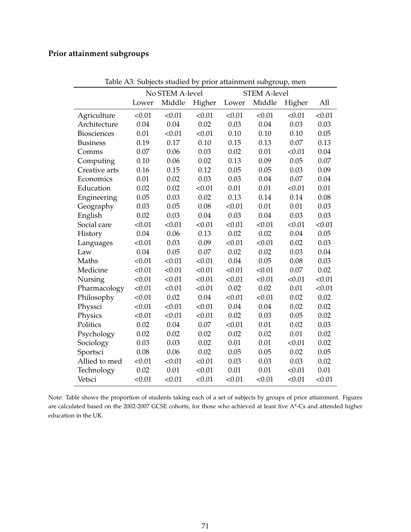# **Prior attainment subgroups**

|                    | No STEM A-level |        |        | <b>STEM A-level</b> |        |        |        |
|--------------------|-----------------|--------|--------|---------------------|--------|--------|--------|
|                    | Lower           | Middle | Higher | Lower               | Middle | Higher | All    |
| Agriculture        | < 0.01          | < 0.01 | < 0.01 | < 0.01              | < 0.01 | < 0.01 | < 0.01 |
| Architecture       | 0.04            | 0.04   | 0.02   | 0.03                | 0.04   | 0.03   | 0.03   |
| <b>Biosciences</b> | 0.01            | < 0.01 | < 0.01 | 0.10                | 0.10   | 0.10   | 0.05   |
| <b>Business</b>    | 0.19            | 0.17   | 0.10   | 0.15                | 0.13   | 0.07   | 0.13   |
| Comms              | 0.07            | 0.06   | 0.03   | 0.02                | 0.01   | < 0.01 | 0.04   |
| Computing          | 0.10            | 0.06   | 0.02   | 0.13                | 0.09   | 0.05   | 0.07   |
| Creative arts      | 0.16            | 0.15   | 0.12   | 0.05                | 0.05   | 0.03   | 0.09   |
| Economics          | 0.01            | 0.02   | 0.03   | 0.03                | 0.04   | 0.07   | 0.04   |
| Education          | 0.02            | 0.02   | < 0.01 | 0.01                | 0.01   | < 0.01 | 0.01   |
| Engineering        | 0.05            | 0.03   | 0.02   | 0.13                | 0.14   | 0.14   | 0.08   |
| Geography          | 0.03            | 0.05   | 0.08   | < 0.01              | 0.01   | 0.01   | 0.03   |
| English            | 0.02            | 0.03   | 0.04   | 0.03                | 0.04   | 0.03   | 0.03   |
| Social care        | < 0.01          | < 0.01 | < 0.01 | < 0.01              | < 0.01 | < 0.01 | < 0.01 |
| History            | 0.04            | 0.06   | 0.13   | 0.02                | 0.02   | 0.04   | 0.05   |
| Languages          | < 0.01          | 0.03   | 0.09   | < 0.01              | < 0.01 | 0.02   | 0.03   |
| Law                | 0.04            | 0.05   | 0.07   | 0.02                | 0.02   | 0.03   | 0.04   |
| Maths              | < 0.01          | < 0.01 | < 0.01 | 0.04                | 0.05   | 0.08   | 0.03   |
| Medicine           | < 0.01          | < 0.01 | < 0.01 | < 0.01              | < 0.01 | 0.07   | 0.02   |
| Nursing            | < 0.01          | < 0.01 | < 0.01 | < 0.01              | < 0.01 | < 0.01 | < 0.01 |
| Pharmacology       | < 0.01          | < 0.01 | < 0.01 | 0.02                | 0.02   | 0.01   | < 0.01 |
| Philosophy         | < 0.01          | 0.02   | 0.04   | < 0.01              | < 0.01 | 0.02   | 0.02   |
| Physsci            | < 0.01          | < 0.01 | < 0.01 | 0.04                | 0.04   | 0.02   | 0.02   |
| Physics            | < 0.01          | < 0.01 | < 0.01 | 0.02                | 0.03   | 0.05   | 0.02   |
| Politics           | 0.02            | 0.04   | 0.07   | < 0.01              | 0.01   | 0.02   | 0.03   |
| Psychology         | 0.02            | 0.02   | 0.02   | 0.02                | 0.02   | 0.01   | 0.02   |
| Sociology          | 0.03            | 0.03   | 0.02   | 0.01                | 0.01   | < 0.01 | 0.02   |
| Sportsci           | 0.08            | 0.06   | 0.02   | 0.05                | 0.05   | 0.02   | 0.05   |
| Allied to med      | < 0.01          | < 0.01 | < 0.01 | 0.03                | 0.03   | 0.03   | 0.02   |
| Technology         | 0.02            | 0.01   | < 0.01 | 0.01                | 0.01   | < 0.01 | 0.01   |
| Vetsci             | < 0.01          | < 0.01 | < 0.01 | < 0.01              | < 0.01 | < 0.01 | < 0.01 |

Table A3: Subjects studied by prior attainment subgroup, men

Note: Table shows the proportion of students taking each of a set of subjects by groups of prior attainment. Figures are calculated based on the 2002-2007 GCSE cohorts, for those who achieved at least five A\*-Cs and attended higher education in the UK.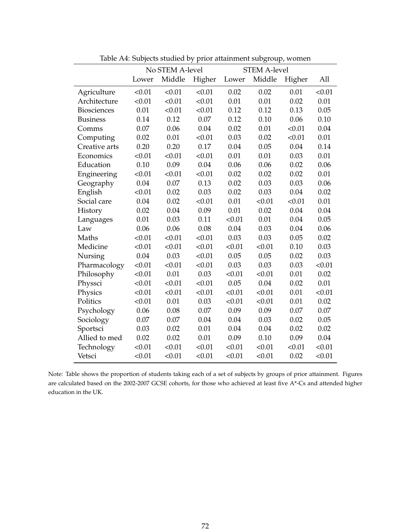|                    | No STEM A-level |        | <b>STEM A-level</b> |        |        |        |        |
|--------------------|-----------------|--------|---------------------|--------|--------|--------|--------|
|                    | Lower           | Middle | Higher              | Lower  | Middle | Higher | All    |
| Agriculture        | < 0.01          | < 0.01 | < 0.01              | 0.02   | 0.02   | 0.01   | < 0.01 |
| Architecture       | < 0.01          | < 0.01 | < 0.01              | 0.01   | 0.01   | 0.02   | 0.01   |
| <b>Biosciences</b> | 0.01            | < 0.01 | < 0.01              | 0.12   | 0.12   | 0.13   | 0.05   |
| <b>Business</b>    | 0.14            | 0.12   | 0.07                | 0.12   | 0.10   | 0.06   | 0.10   |
| Comms              | 0.07            | 0.06   | 0.04                | 0.02   | 0.01   | < 0.01 | 0.04   |
| Computing          | 0.02            | 0.01   | < 0.01              | 0.03   | 0.02   | < 0.01 | 0.01   |
| Creative arts      | 0.20            | 0.20   | 0.17                | 0.04   | 0.05   | 0.04   | 0.14   |
| Economics          | < 0.01          | < 0.01 | < 0.01              | 0.01   | 0.01   | 0.03   | 0.01   |
| Education          | 0.10            | 0.09   | 0.04                | 0.06   | 0.06   | 0.02   | 0.06   |
| Engineering        | < 0.01          | < 0.01 | < 0.01              | 0.02   | 0.02   | 0.02   | 0.01   |
| Geography          | 0.04            | 0.07   | 0.13                | 0.02   | 0.03   | 0.03   | 0.06   |
| English            | < 0.01          | 0.02   | 0.03                | 0.02   | 0.03   | 0.04   | 0.02   |
| Social care        | 0.04            | 0.02   | < 0.01              | 0.01   | < 0.01 | < 0.01 | 0.01   |
| History            | 0.02            | 0.04   | 0.09                | 0.01   | 0.02   | 0.04   | 0.04   |
| Languages          | 0.01            | 0.03   | 0.11                | < 0.01 | 0.01   | 0.04   | 0.05   |
| Law                | 0.06            | 0.06   | 0.08                | 0.04   | 0.03   | 0.04   | 0.06   |
| Maths              | < 0.01          | < 0.01 | < 0.01              | 0.03   | 0.03   | 0.05   | 0.02   |
| Medicine           | < 0.01          | < 0.01 | < 0.01              | < 0.01 | < 0.01 | 0.10   | 0.03   |
| Nursing            | 0.04            | 0.03   | < 0.01              | 0.05   | 0.05   | 0.02   | 0.03   |
| Pharmacology       | < 0.01          | < 0.01 | < 0.01              | 0.03   | 0.03   | 0.03   | < 0.01 |
| Philosophy         | < 0.01          | 0.01   | 0.03                | < 0.01 | < 0.01 | 0.01   | 0.02   |
| Physsci            | < 0.01          | < 0.01 | < 0.01              | 0.05   | 0.04   | 0.02   | 0.01   |
| Physics            | < 0.01          | < 0.01 | < 0.01              | < 0.01 | < 0.01 | 0.01   | < 0.01 |
| Politics           | < 0.01          | 0.01   | 0.03                | < 0.01 | < 0.01 | 0.01   | 0.02   |
| Psychology         | 0.06            | 0.08   | 0.07                | 0.09   | 0.09   | 0.07   | 0.07   |
| Sociology          | 0.07            | 0.07   | 0.04                | 0.04   | 0.03   | 0.02   | 0.05   |
| Sportsci           | 0.03            | 0.02   | 0.01                | 0.04   | 0.04   | 0.02   | 0.02   |
| Allied to med      | 0.02            | 0.02   | 0.01                | 0.09   | 0.10   | 0.09   | 0.04   |
| Technology         | < 0.01          | < 0.01 | < 0.01              | < 0.01 | < 0.01 | < 0.01 | < 0.01 |
| Vetsci             | < 0.01          | < 0.01 | < 0.01              | < 0.01 | < 0.01 | 0.02   | < 0.01 |

Table A4: Subjects studied by prior attainment subgroup, women

Note: Table shows the proportion of students taking each of a set of subjects by groups of prior attainment. Figures are calculated based on the 2002-2007 GCSE cohorts, for those who achieved at least five A\*-Cs and attended higher education in the UK.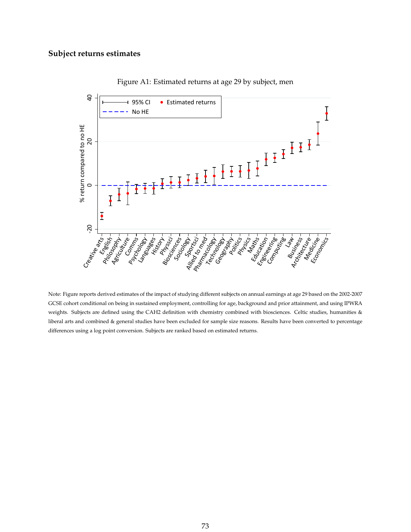## **Subject returns estimates**



Figure A1: Estimated returns at age 29 by subject, men

Note: Figure reports derived estimates of the impact of studying different subjects on annual earnings at age 29 based on the 2002-2007 GCSE cohort conditional on being in sustained employment, controlling for age, background and prior attainment, and using IPWRA weights. Subjects are defined using the CAH2 definition with chemistry combined with biosciences. Celtic studies, humanities & liberal arts and combined & general studies have been excluded for sample size reasons. Results have been converted to percentage differences using a log point conversion. Subjects are ranked based on estimated returns.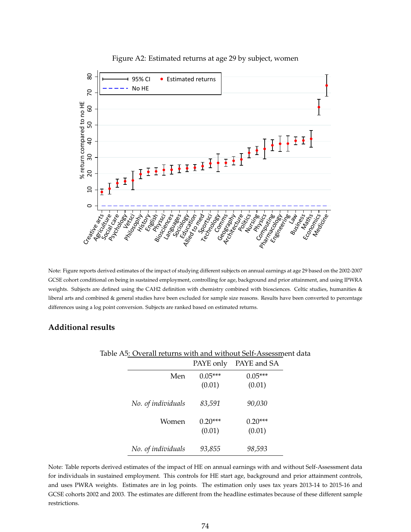

#### Figure A2: Estimated returns at age 29 by subject, women

Note: Figure reports derived estimates of the impact of studying different subjects on annual earnings at age 29 based on the 2002-2007 GCSE cohort conditional on being in sustained employment, controlling for age, background and prior attainment, and using IPWRA weights. Subjects are defined using the CAH2 definition with chemistry combined with biosciences. Celtic studies, humanities & liberal arts and combined & general studies have been excluded for sample size reasons. Results have been converted to percentage differences using a log point conversion. Subjects are ranked based on estimated returns.

### **Additional results**

|                    | PAYE only           | PAYE and SA         |
|--------------------|---------------------|---------------------|
| Men                | $0.05***$<br>(0.01) | $0.05***$<br>(0.01) |
| No. of individuals | 83,591              | 90,030              |
| Women              | $0.20***$<br>(0.01) | $0.20***$<br>(0.01) |
| No. of individuals | 93,855              | 98,593              |

#### Table A5: Overall returns with and without Self-Assessment data

Note: Table reports derived estimates of the impact of HE on annual earnings with and without Self-Assessment data for individuals in sustained employment. This controls for HE start age, background and prior attainment controls, and uses PWRA weights. Estimates are in log points. The estimation only uses tax years 2013-14 to 2015-16 and GCSE cohorts 2002 and 2003. The estimates are different from the headline estimates because of these different sample restrictions.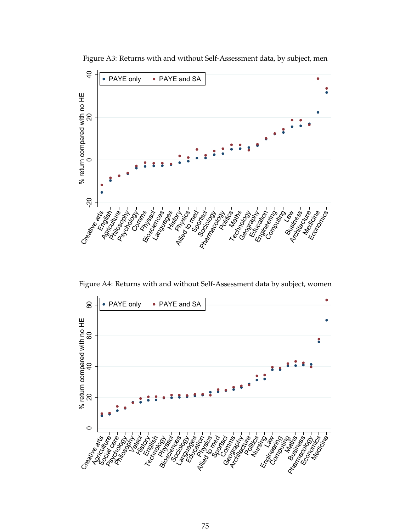

Figure A3: Returns with and without Self-Assessment data, by subject, men

Figure A4: Returns with and without Self-Assessment data by subject, women

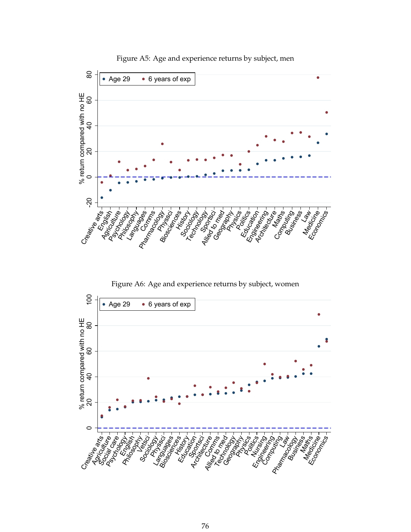

Figure A5: Age and experience returns by subject, men

Figure A6: Age and experience returns by subject, women

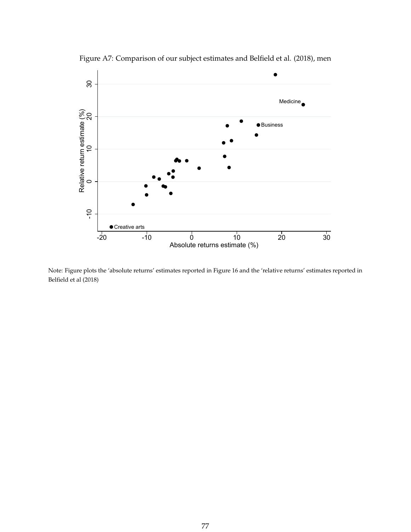

Figure A7: Comparison of our subject estimates and Belfield et al. (2018), men

Note: Figure plots the 'absolute returns' estimates reported in Figure 16 and the 'relative returns' estimates reported in Belfield et al (2018)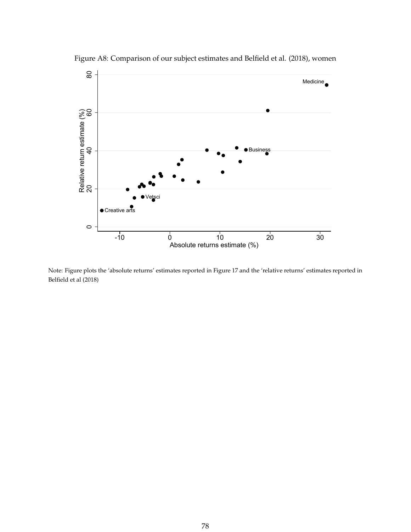

Figure A8: Comparison of our subject estimates and Belfield et al. (2018), women

Note: Figure plots the 'absolute returns' estimates reported in Figure 17 and the 'relative returns' estimates reported in Belfield et al (2018)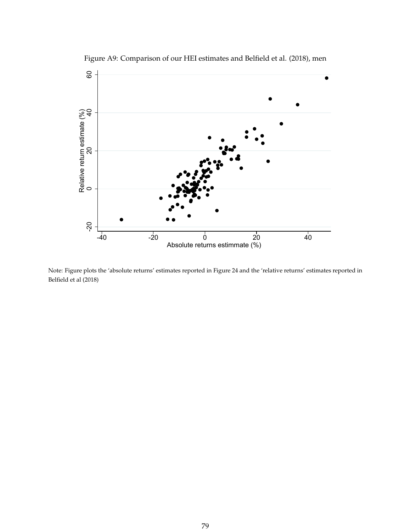

Figure A9: Comparison of our HEI estimates and Belfield et al. (2018), men

Note: Figure plots the 'absolute returns' estimates reported in Figure 24 and the 'relative returns' estimates reported in Belfield et al (2018)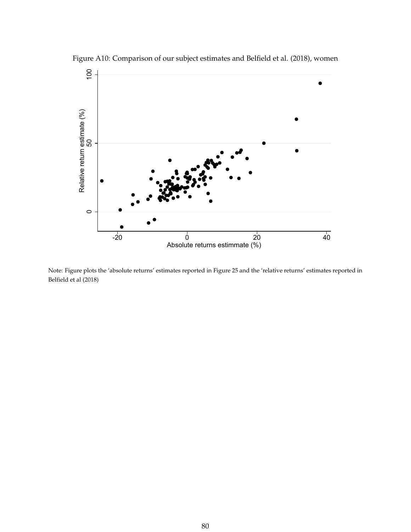

Figure A10: Comparison of our subject estimates and Belfield et al. (2018), women

Note: Figure plots the 'absolute returns' estimates reported in Figure 25 and the 'relative returns' estimates reported in Belfield et al (2018)